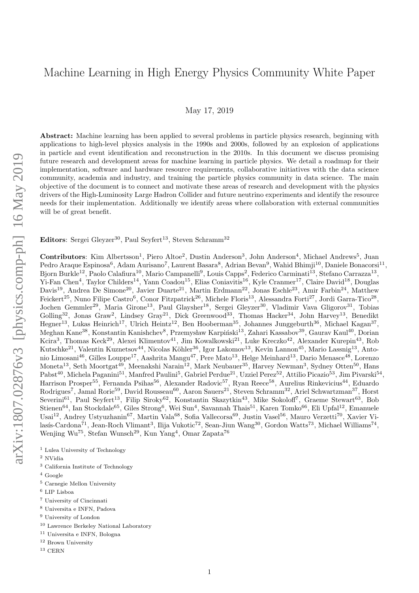# Machine Learning in High Energy Physics Community White Paper

May 17, 2019

Abstract: Machine learning has been applied to several problems in particle physics research, beginning with applications to high-level physics analysis in the 1990s and 2000s, followed by an explosion of applications in particle and event identification and reconstruction in the 2010s. In this document we discuss promising future research and development areas for machine learning in particle physics. We detail a roadmap for their implementation, software and hardware resource requirements, collaborative initiatives with the data science community, academia and industry, and training the particle physics community in data science. The main objective of the document is to connect and motivate these areas of research and development with the physics drivers of the High-Luminosity Large Hadron Collider and future neutrino experiments and identify the resource needs for their implementation. Additionally we identify areas where collaboration with external communities will be of great benefit.

Editors: Sergei Gleyzer<sup>30</sup>, Paul Seyfert<sup>13</sup>, Steven Schramm<sup>32</sup>

Contributors: Kim Albertsson<sup>1</sup>, Piero Altoe<sup>2</sup>, Dustin Anderson<sup>3</sup>, John Anderson<sup>4</sup>, Michael Andrews<sup>5</sup>, Juan Pedro Araque Espinosa<sup>6</sup>, Adam Aurisano<sup>7</sup>, Laurent Basara<sup>8</sup>, Adrian Bevan<sup>9</sup>, Wahid Bhimji<sup>10</sup>, Daniele Bonacorsi<sup>11</sup>, Bjorn Burkle<sup>12</sup>, Paolo Calafiura<sup>10</sup>, Mario Campanelli<sup>9</sup>, Louis Capps<sup>2</sup>, Federico Carminati<sup>13</sup>, Stefano Carrazza<sup>13</sup>, Yi-Fan Chen<sup>4</sup>, Taylor Childers<sup>14</sup>, Yann Coadou<sup>15</sup>, Elias Coniavitis<sup>16</sup>, Kyle Cranmer<sup>17</sup>, Claire David<sup>18</sup>, Douglas Davis<sup>19</sup>, Andrea De Simone<sup>20</sup>, Javier Duarte<sup>21</sup>, Martin Erdmann<sup>22</sup>, Jonas Eschle<sup>23</sup>, Amir Farbin<sup>24</sup>, Matthew Feickert<sup>25</sup>, Nuno Filipe Castro<sup>6</sup>, Conor Fitzpatrick<sup>26</sup>, Michele Floris<sup>13</sup>, Alessandra Forti<sup>27</sup>, Jordi Garra-Tico<sup>28</sup>, Jochen Gemmler<sup>29</sup>, Maria Girone<sup>13</sup>, Paul Glaysher<sup>18</sup>, Sergei Gleyzer<sup>30</sup>, Vladimir Vava Gligorov<sup>31</sup>, Tobias Golling<sup>32</sup>, Jonas Graw<sup>2</sup>, Lindsey Gray<sup>21</sup>, Dick Greenwood<sup>33</sup>, Thomas Hacker<sup>34</sup>, John Harvey<sup>13</sup>, Benedikt Hegner<sup>13</sup>, Lukas Heinrich<sup>17</sup>, Ulrich Heintz<sup>12</sup>, Ben Hooberman<sup>35</sup>, Johannes Junggeburth<sup>36</sup>, Michael Kagan<sup>37</sup>, Meghan Kane<sup>38</sup>, Konstantin Kanishchev<sup>8</sup>, Przemysław Karpiński<sup>13</sup>, Zahari Kassabov<sup>39</sup>, Gaurav Kaul<sup>40</sup>, Dorian Kcira<sup>3</sup>, Thomas Keck<sup>29</sup>, Alexei Klimentov<sup>41</sup>, Jim Kowalkowski<sup>21</sup>, Luke Kreczko<sup>42</sup>, Alexander Kurepin<sup>43</sup>, Rob Kutschke<sup>21</sup>, Valentin Kuznetsov<sup>44</sup>, Nicolas Köhler<sup>36</sup>, Igor Lakomov<sup>13</sup>, Kevin Lannon<sup>45</sup>, Mario Lassnig<sup>13</sup>, Antonio Limosani<sup>46</sup>, Gilles Louppe<sup>17</sup>, Aashrita Mangu<sup>47</sup>, Pere Mato<sup>13</sup>, Helge Meinhard<sup>13</sup>, Dario Menasce<sup>48</sup>, Lorenzo Moneta<sup>13</sup>, Seth Moortgat<sup>49</sup>, Meenakshi Narain<sup>12</sup>, Mark Neubauer<sup>35</sup>, Harvey Newman<sup>3</sup>, Sydney Otten<sup>50</sup>, Hans  $\rm Pabst^{40},$  Michela Paganini $^{51},$  Manfred Paulini $^5,$  Gabriel Perdue $^{21},$  Uzziel Perez $^{52},$  Attilio Picazio $^{53},$  Jim Pivarski $^{54},$ Harrison Prosper<sup>55</sup>, Fernanda Psihas<sup>56</sup>, Alexander Radovic<sup>57</sup>, Ryan Reece<sup>58</sup>, Aurelius Rinkevicius<sup>44</sup>, Eduardo Rodrigues<sup>7</sup>, Jamal Rorie<sup>59</sup>, David Rousseau<sup>60</sup>, Aaron Sauers<sup>21</sup>, Steven Schramm<sup>32</sup>, Ariel Schwartzman<sup>37</sup>, Horst Severini<sup>61</sup>, Paul Seyfert<sup>13</sup>, Filip Siroky<sup>62</sup>, Konstantin Skazytkin<sup>43</sup>, Mike Sokoloff<sup>7</sup>, Graeme Stewart<sup>63</sup>, Bob  $\rm Stienen^{64},$  Ian Stockdale $^{65}$ , Giles Strong $^6$ , Wei Sun $^4$ , Savannah Thais $^{51}$ , Karen Tomko $^{66}$ , Eli Upfal $^{12}$ , Emanuele Usai<sup>12</sup>, Andrey Ustyuzhanin<sup>67</sup>, Martin Vala<sup>68</sup>, Sofia Vallecorsa<sup>69</sup>, Justin Vasel<sup>56</sup>, Mauro Verzetti<sup>70</sup>, Xavier Vilasís-Cardona<sup>71</sup>, Jean-Roch Vlimant<sup>3</sup>, Ilija Vukotic<sup>72</sup>, Sean-Jiun Wang<sup>30</sup>, Gordon Watts<sup>73</sup>, Michael Williams<sup>74</sup>, Wenjing Wu<sup>75</sup>, Stefan Wunsch<sup>29</sup>, Kun Yang<sup>4</sup>, Omar Zapata<sup>76</sup>

- $^{\rm 1}$  Lulea University of Technology
- $^2$ NVidia
- <sup>3</sup> California Institute of Technology
- <sup>4</sup> Google
- <sup>5</sup> Carnegie Mellon University
- $^6$  LIP Lisboa
- <sup>7</sup> University of Cincinnati
- <sup>8</sup> Universita e INFN, Padova
- <sup>9</sup> University of London
- <sup>10</sup> Lawrence Berkeley National Laboratory
- <sup>11</sup> Universita e INFN, Bologna
- <sup>12</sup> Brown University
- $^{13}$  CERN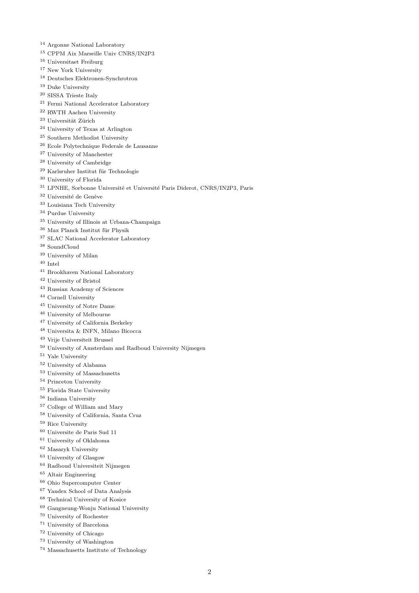- Argonne National Laboratory
- CPPM Aix Marseille Univ CNRS/IN2P3
- Universitaet Freiburg
- New York University
- Deutsches Elektronen-Synchrotron
- Duke University
- SISSA Trieste Italy
- Fermi National Accelerator Laboratory
- RWTH Aachen University
- Universität Zürich
- University of Texas at Arlington
- Southern Methodist University
- Ecole Polytechnique Federale de Lausanne
- University of Manchester
- University of Cambridge
- Karlsruher Institut für Technologie
- University of Florida
- <sup>31</sup> LPNHE, Sorbonne Université et Université Paris Diderot, CNRS/IN2P3, Paris
- $^{32}$ Université de Genève
- Louisiana Tech University
- Purdue University
- University of Illinois at Urbana-Champaign
- $^{36}$  Max Planck Institut für Physik
- SLAC National Accelerator Laboratory
- SoundCloud
- University of Milan
- Intel
- Brookhaven National Laboratory
- University of Bristol
- Russian Academy of Sciences
- Cornell University
- University of Notre Dame
- University of Melbourne
- University of California Berkeley
- Universita & INFN, Milano Bicocca
- Vrije Universiteit Brussel
- University of Amsterdam and Radboud University Nijmegen
- Yale University
- University of Alabama
- University of Massachusetts
- Princeton University
- Florida State University
- Indiana University
- College of William and Mary
- University of California, Santa Cruz
- Rice University
- $^{60}$ Universite de Paris Sud $11\,$
- University of Oklahoma
- Masaryk University
- University of Glasgow
- Radboud Universiteit Nijmegen
- Altair Engineering
- Ohio Supercomputer Center
- Yandex School of Data Analysis
- Technical University of Kosice
- Gangneung-Wonju National University
- University of Rochester
- University of Barcelona
- University of Chicago
- University of Washington
- Massachusetts Institute of Technology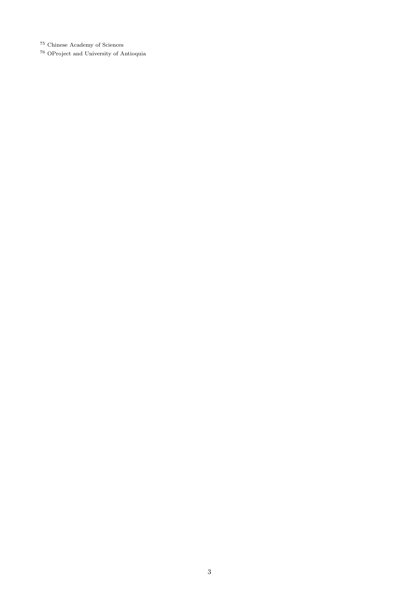Chinese Academy of Sciences

OProject and University of Antioquia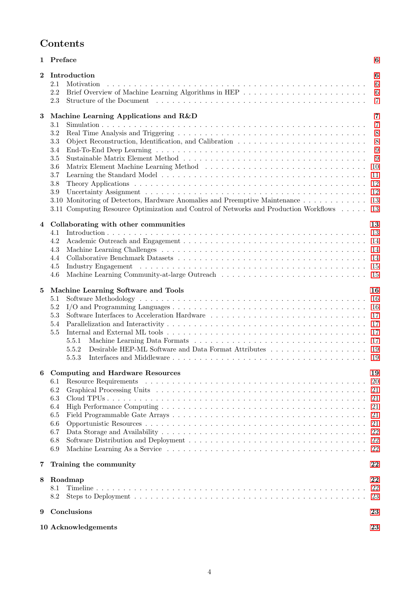| <b>Contents</b> |
|-----------------|
|-----------------|

|              | 1 Preface                                                                                                                                                                                                                             | 6              |
|--------------|---------------------------------------------------------------------------------------------------------------------------------------------------------------------------------------------------------------------------------------|----------------|
| $\mathbf{2}$ | Introduction                                                                                                                                                                                                                          | 6              |
|              | 2.1<br>Motivation                                                                                                                                                                                                                     | $\,6\,$        |
|              | 2.2                                                                                                                                                                                                                                   | $\,6$          |
|              | 2.3<br>Structure of the Document (a) is a series of the series of the series of the Document (a) is a series of the series of the series of the series of the series of the series of the series of the series of the series of the s | $\overline{7}$ |
|              |                                                                                                                                                                                                                                       |                |
| $\bf{3}$     | Machine Learning Applications and R&D                                                                                                                                                                                                 | $\overline{7}$ |
|              | 3.1                                                                                                                                                                                                                                   | $\overline{7}$ |
|              | $3.2\,$                                                                                                                                                                                                                               | 8              |
|              | 3.3                                                                                                                                                                                                                                   | 8              |
|              | 3.4                                                                                                                                                                                                                                   | 9              |
|              | 3.5                                                                                                                                                                                                                                   | 9              |
|              | 3.6                                                                                                                                                                                                                                   | 10             |
|              | 3.7                                                                                                                                                                                                                                   | 11             |
|              | 3.8                                                                                                                                                                                                                                   | 12             |
|              | 3.9                                                                                                                                                                                                                                   | 12             |
|              | 3.10 Monitoring of Detectors, Hardware Anomalies and Preemptive Maintenance                                                                                                                                                           | 13             |
|              | 3.11 Computing Resource Optimization and Control of Networks and Production Workflows                                                                                                                                                 | 13             |
| 4            | Collaborating with other communities                                                                                                                                                                                                  | 13             |
|              | 4.1                                                                                                                                                                                                                                   | 13             |
|              | 4.2                                                                                                                                                                                                                                   | 14             |
|              | 4.3                                                                                                                                                                                                                                   | 14             |
|              | 4.4                                                                                                                                                                                                                                   | -14            |
|              | 4.5                                                                                                                                                                                                                                   | 15             |
|              | 4.6                                                                                                                                                                                                                                   | 15             |
|              |                                                                                                                                                                                                                                       |                |
| $\bf{5}$     | Machine Learning Software and Tools                                                                                                                                                                                                   | 16             |
|              | 5.1                                                                                                                                                                                                                                   | 16             |
|              | 5.2                                                                                                                                                                                                                                   | 16             |
|              | 5.3                                                                                                                                                                                                                                   | 17             |
|              | 5.4                                                                                                                                                                                                                                   | 17             |
|              | 5.5                                                                                                                                                                                                                                   | 17             |
|              | 5.5.1                                                                                                                                                                                                                                 | 17             |
|              | Desirable HEP-ML Software and Data Format Attributes<br>5.5.2                                                                                                                                                                         | 19             |
|              | 5.5.3                                                                                                                                                                                                                                 | -19            |
|              |                                                                                                                                                                                                                                       |                |
|              | <b>Computing and Hardware Resources</b>                                                                                                                                                                                               | 19             |
|              | 6.1                                                                                                                                                                                                                                   | <b>20</b>      |
|              | 6.2                                                                                                                                                                                                                                   | 21             |
|              | 6.3                                                                                                                                                                                                                                   | 21             |
|              | 6.4                                                                                                                                                                                                                                   | 21             |
|              | 6.5                                                                                                                                                                                                                                   | 21             |
|              | 6.6                                                                                                                                                                                                                                   | 21             |
|              | 6.7                                                                                                                                                                                                                                   | 22             |
|              | 6.8                                                                                                                                                                                                                                   | 22             |
|              | 6.9                                                                                                                                                                                                                                   | 22             |
| 7            | Training the community                                                                                                                                                                                                                | 22             |
|              |                                                                                                                                                                                                                                       |                |
| 8            | Roadmap                                                                                                                                                                                                                               | 22             |
|              | 8.1<br>8.2                                                                                                                                                                                                                            | 22             |
|              |                                                                                                                                                                                                                                       | 23             |
| 9            | Conclusions                                                                                                                                                                                                                           | 23             |
|              | 10 Acknowledgements                                                                                                                                                                                                                   | 23             |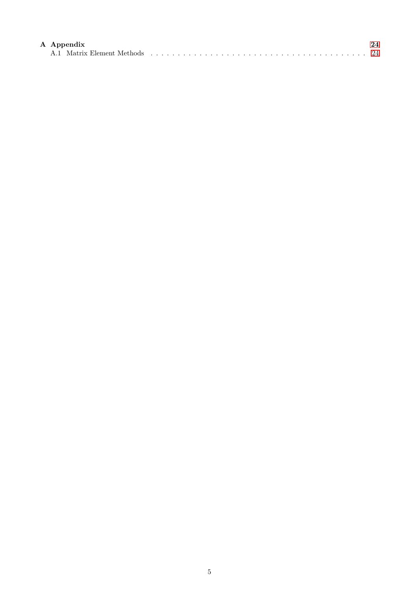| A Appendix |  |  |  |  |  |  |  |  |  |
|------------|--|--|--|--|--|--|--|--|--|
|            |  |  |  |  |  |  |  |  |  |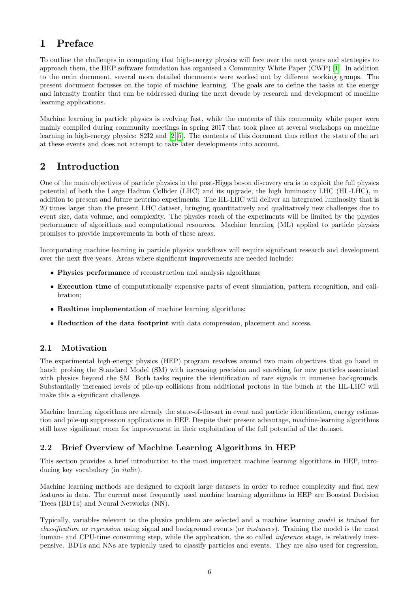# <span id="page-5-0"></span>1 Preface

To outline the challenges in computing that high-energy physics will face over the next years and strategies to approach them, the HEP software foundation has organised a Community White Paper (CWP) [\[1\]](#page-24-0). In addition to the main document, several more detailed documents were worked out by different working groups. The present document focusses on the topic of machine learning. The goals are to define the tasks at the energy and intensity frontier that can be addressed during the next decade by research and development of machine learning applications.

Machine learning in particle physics is evolving fast, while the contents of this community white paper were mainly compiled during community meetings in spring 2017 that took place at several workshops on machine learning in high-energy physics: S2I2 and [\[2–](#page-24-1)[5\]](#page-24-2). The contents of this document thus reflect the state of the art at these events and does not attempt to take later developments into account.

# <span id="page-5-1"></span>2 Introduction

One of the main objectives of particle physics in the post-Higgs boson discovery era is to exploit the full physics potential of both the Large Hadron Collider (LHC) and its upgrade, the high luminosity LHC (HL-LHC), in addition to present and future neutrino experiments. The HL-LHC will deliver an integrated luminosity that is 20 times larger than the present LHC dataset, bringing quantitatively and qualitatively new challenges due to event size, data volume, and complexity. The physics reach of the experiments will be limited by the physics performance of algorithms and computational resources. Machine learning (ML) applied to particle physics promises to provide improvements in both of these areas.

Incorporating machine learning in particle physics workflows will require significant research and development over the next five years. Areas where significant improvements are needed include:

- Physics performance of reconstruction and analysis algorithms;
- Execution time of computationally expensive parts of event simulation, pattern recognition, and calibration;
- Realtime implementation of machine learning algorithms;
- Reduction of the data footprint with data compression, placement and access.

#### <span id="page-5-2"></span>2.1 Motivation

The experimental high-energy physics (HEP) program revolves around two main objectives that go hand in hand: probing the Standard Model (SM) with increasing precision and searching for new particles associated with physics beyond the SM. Both tasks require the identification of rare signals in immense backgrounds. Substantially increased levels of pile-up collisions from additional protons in the bunch at the HL-LHC will make this a significant challenge.

Machine learning algorithms are already the state-of-the-art in event and particle identification, energy estimation and pile-up suppression applications in HEP. Despite their present advantage, machine-learning algorithms still have significant room for improvement in their exploitation of the full potential of the dataset.

### <span id="page-5-3"></span>2.2 Brief Overview of Machine Learning Algorithms in HEP

This section provides a brief introduction to the most important machine learning algorithms in HEP, introducing key vocabulary (in italic).

Machine learning methods are designed to exploit large datasets in order to reduce complexity and find new features in data. The current most frequently used machine learning algorithms in HEP are Boosted Decision Trees (BDTs) and Neural Networks (NN).

Typically, variables relevant to the physics problem are selected and a machine learning model is trained for classification or regression using signal and background events (or instances). Training the model is the most human- and CPU-time consuming step, while the application, the so called *inference* stage, is relatively inexpensive. BDTs and NNs are typically used to classify particles and events. They are also used for regression,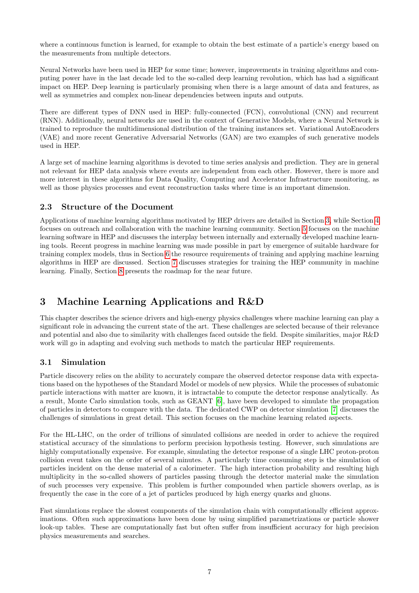where a continuous function is learned, for example to obtain the best estimate of a particle's energy based on the measurements from multiple detectors.

Neural Networks have been used in HEP for some time; however, improvements in training algorithms and computing power have in the last decade led to the so-called deep learning revolution, which has had a significant impact on HEP. Deep learning is particularly promising when there is a large amount of data and features, as well as symmetries and complex non-linear dependencies between inputs and outputs.

There are different types of DNN used in HEP: fully-connected (FCN), convolutional (CNN) and recurrent (RNN). Additionally, neural networks are used in the context of Generative Models, where a Neural Network is trained to reproduce the multidimensional distribution of the training instances set. Variational AutoEncoders (VAE) and more recent Generative Adversarial Networks (GAN) are two examples of such generative models used in HEP.

A large set of machine learning algorithms is devoted to time series analysis and prediction. They are in general not relevant for HEP data analysis where events are independent from each other. However, there is more and more interest in these algorithms for Data Quality, Computing and Accelerator Infrastructure monitoring, as well as those physics processes and event reconstruction tasks where time is an important dimension.

#### <span id="page-6-0"></span>2.3 Structure of the Document

Applications of machine learning algorithms motivated by HEP drivers are detailed in Section [3,](#page-6-1) while Section [4](#page-12-2) focuses on outreach and collaboration with the machine learning community. Section [5](#page-15-0) focuses on the machine learning software in HEP and discusses the interplay between internally and externally developed machine learning tools. Recent progress in machine learning was made possible in part by emergence of suitable hardware for training complex models, thus in Section [6](#page-18-2) the resource requirements of training and applying machine learning algorithms in HEP are discussed. Section [7](#page-21-3) discusses strategies for training the HEP community in machine learning. Finally, Section [8](#page-21-4) presents the roadmap for the near future.

# <span id="page-6-1"></span>3 Machine Learning Applications and R&D

This chapter describes the science drivers and high-energy physics challenges where machine learning can play a significant role in advancing the current state of the art. These challenges are selected because of their relevance and potential and also due to similarity with challenges faced outside the field. Despite similarities, major R&D work will go in adapting and evolving such methods to match the particular HEP requirements.

### <span id="page-6-2"></span>3.1 Simulation

Particle discovery relies on the ability to accurately compare the observed detector response data with expectations based on the hypotheses of the Standard Model or models of new physics. While the processes of subatomic particle interactions with matter are known, it is intractable to compute the detector response analytically. As a result, Monte Carlo simulation tools, such as GEANT [\[6\]](#page-24-3), have been developed to simulate the propagation of particles in detectors to compare with the data. The dedicated CWP on detector simulation [\[7\]](#page-24-4) discusses the challenges of simulations in great detail. This section focuses on the machine learning related aspects.

For the HL-LHC, on the order of trillions of simulated collisions are needed in order to achieve the required statistical accuracy of the simulations to perform precision hypothesis testing. However, such simulations are highly computationally expensive. For example, simulating the detector response of a single LHC proton-proton collision event takes on the order of several minutes. A particularly time consuming step is the simulation of particles incident on the dense material of a calorimeter. The high interaction probability and resulting high multiplicity in the so-called showers of particles passing through the detector material make the simulation of such processes very expensive. This problem is further compounded when particle showers overlap, as is frequently the case in the core of a jet of particles produced by high energy quarks and gluons.

Fast simulations replace the slowest components of the simulation chain with computationally efficient approximations. Often such approximations have been done by using simplified parametrizations or particle shower look-up tables. These are computationally fast but often suffer from insufficient accuracy for high precision physics measurements and searches.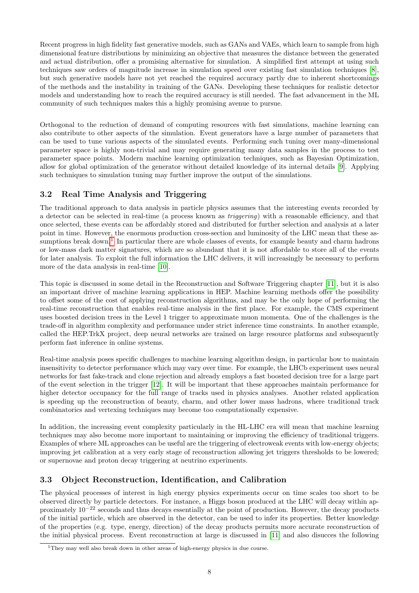Recent progress in high fidelity fast generative models, such as GANs and VAEs, which learn to sample from high dimensional feature distributions by minimizing an objective that measures the distance between the generated and actual distribution, offer a promising alternative for simulation. A simplified first attempt at using such techniques saw orders of magnitude increase in simulation speed over existing fast simulation techniques [\[8\]](#page-24-5), but such generative models have not yet reached the required accuracy partly due to inherent shortcomings of the methods and the instability in training of the GANs. Developing these techniques for realistic detector models and understanding how to reach the required accuracy is still needed. The fast advancement in the ML community of such techniques makes this a highly promising avenue to pursue.

Orthogonal to the reduction of demand of computing resources with fast simulations, machine learning can also contribute to other aspects of the simulation. Event generators have a large number of parameters that can be used to tune various aspects of the simulated events. Performing such tuning over many-dimensional parameter space is highly non-trivial and may require generating many data samples in the process to test parameter space points. Modern machine learning optimization techniques, such as Bayesian Optimization, allow for global optimization of the generator without detailed knowledge of its internal details [\[9\]](#page-24-6). Applying such techniques to simulation tuning may further improve the output of the simulations.

## <span id="page-7-0"></span>3.2 Real Time Analysis and Triggering

The traditional approach to data analysis in particle physics assumes that the interesting events recorded by a detector can be selected in real-time (a process known as triggering) with a reasonable efficiency, and that once selected, these events can be affordably stored and distributed for further selection and analysis at a later point in time. However, the enormous production cross-section and luminosity of the LHC mean that these as-sumptions break down.<sup>[1](#page-7-2)</sup> In particular there are whole classes of events, for example beauty and charm hadrons or low-mass dark matter signatures, which are so abundant that it is not affordable to store all of the events for later analysis. To exploit the full information the LHC delivers, it will increasingly be necessary to perform more of the data analysis in real-time [\[10\]](#page-24-7).

This topic is discussed in some detail in the Reconstruction and Software Triggering chapter [\[11\]](#page-24-8), but it is also an important driver of machine learning applications in HEP. Machine learning methods offer the possibility to offset some of the cost of applying reconstruction algorithms, and may be the only hope of performing the real-time reconstruction that enables real-time analysis in the first place. For example, the CMS experiment uses boosted decision trees in the Level 1 trigger to approximate muon momenta. One of the challenges is the trade-off in algorithm complexity and performance under strict inference time constraints. In another example, called the HEP.TrkX project, deep neural networks are trained on large resource platforms and subsequently perform fast inference in online systems.

Real-time analysis poses specific challenges to machine learning algorithm design, in particular how to maintain insensitivity to detector performance which may vary over time. For example, the LHCb experiment uses neural networks for fast fake-track and clone rejection and already employs a fast boosted decision tree for a large part of the event selection in the trigger [\[12\]](#page-24-9). It will be important that these approaches maintain performance for higher detector occupancy for the full range of tracks used in physics analyses. Another related application is speeding up the reconstruction of beauty, charm, and other lower mass hadrons, where traditional track combinatorics and vertexing techniques may become too computationally expensive.

In addition, the increasing event complexity particularly in the HL-LHC era will mean that machine learning techniques may also become more important to maintaining or improving the efficiency of traditional triggers. Examples of where ML approaches can be useful are the triggering of electroweak events with low-energy objects; improving jet calibration at a very early stage of reconstruction allowing jet triggers thresholds to be lowered; or supernovae and proton decay triggering at neutrino experiments.

### <span id="page-7-1"></span>3.3 Object Reconstruction, Identification, and Calibration

The physical processes of interest in high energy physics experiments occur on time scales too short to be observed directly by particle detectors. For instance, a Higgs boson produced at the LHC will decay within approximately 10<sup>−</sup><sup>22</sup> seconds and thus decays essentially at the point of production. However, the decay products of the initial particle, which are observed in the detector, can be used to infer its properties. Better knowledge of the properties (e.g. type, energy, direction) of the decay products permits more accurate reconstruction of the initial physical process. Event reconstruction at large is discussed in [\[11\]](#page-24-8) and also disucces the following

<span id="page-7-2"></span><sup>&</sup>lt;sup>1</sup>They may well also break down in other areas of high-energy physics in due course.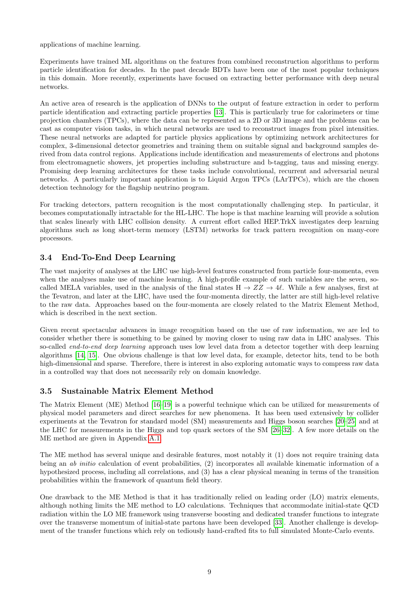applications of machine learning.

Experiments have trained ML algorithms on the features from combined reconstruction algorithms to perform particle identification for decades. In the past decade BDTs have been one of the most popular techniques in this domain. More recently, experiments have focused on extracting better performance with deep neural networks.

An active area of research is the application of DNNs to the output of feature extraction in order to perform particle identification and extracting particle properties [\[13\]](#page-24-10). This is particularly true for calorimeters or time projection chambers (TPCs), where the data can be represented as a 2D or 3D image and the problems can be cast as computer vision tasks, in which neural networks are used to reconstruct images from pixel intensities. These neural networks are adapted for particle physics applications by optimizing network architectures for complex, 3-dimensional detector geometries and training them on suitable signal and background samples derived from data control regions. Applications include identification and measurements of electrons and photons from electromagnetic showers, jet properties including substructure and b-tagging, taus and missing energy. Promising deep learning architectures for these tasks include convolutional, recurrent and adversarial neural networks. A particularly important application is to Liquid Argon TPCs (LArTPCs), which are the chosen detection technology for the flagship neutrino program.

For tracking detectors, pattern recognition is the most computationally challenging step. In particular, it becomes computationally intractable for the HL-LHC. The hope is that machine learning will provide a solution that scales linearly with LHC collision density. A current effort called HEP.TrkX investigates deep learning algorithms such as long short-term memory (LSTM) networks for track pattern recognition on many-core processors.

#### <span id="page-8-0"></span>3.4 End-To-End Deep Learning

The vast majority of analyses at the LHC use high-level features constructed from particle four-momenta, even when the analyses make use of machine learning. A high-profile example of such variables are the seven, socalled MELA variables, used in the analysis of the final states  $H \to ZZ \to 4\ell$ . While a few analyses, first at the Tevatron, and later at the LHC, have used the four-momenta directly, the latter are still high-level relative to the raw data. Approaches based on the four-momenta are closely related to the Matrix Element Method, which is described in the next section.

Given recent spectacular advances in image recognition based on the use of raw information, we are led to consider whether there is something to be gained by moving closer to using raw data in LHC analyses. This so-called *end-to-end deep learning* approach uses low level data from a detector together with deep learning algorithms [\[14,](#page-24-11) [15\]](#page-24-12). One obvious challenge is that low level data, for example, detector hits, tend to be both high-dimensional and sparse. Therefore, there is interest in also exploring automatic ways to compress raw data in a controlled way that does not necessarily rely on domain knowledge.

#### <span id="page-8-1"></span>3.5 Sustainable Matrix Element Method

The Matrix Element (ME) Method [\[16–](#page-24-13)[19\]](#page-24-14) is a powerful technique which can be utilized for measurements of physical model parameters and direct searches for new phenomena. It has been used extensively by collider experiments at the Tevatron for standard model (SM) measurements and Higgs boson searches [\[20–](#page-24-15)[25\]](#page-25-0) and at the LHC for measurements in the Higgs and top quark sectors of the SM [\[26](#page-25-1)[–32\]](#page-25-2). A few more details on the ME method are given in Appendix [A.1.](#page-23-1)

The ME method has several unique and desirable features, most notably it (1) does not require training data being an ab initio calculation of event probabilities, (2) incorporates all available kinematic information of a hypothesized process, including all correlations, and (3) has a clear physical meaning in terms of the transition probabilities within the framework of quantum field theory.

One drawback to the ME Method is that it has traditionally relied on leading order (LO) matrix elements, although nothing limits the ME method to LO calculations. Techniques that accommodate initial-state QCD radiation within the LO ME framework using transverse boosting and dedicated transfer functions to integrate over the transverse momentum of initial-state partons have been developed [\[33\]](#page-25-3). Another challenge is development of the transfer functions which rely on tediously hand-crafted fits to full simulated Monte-Carlo events.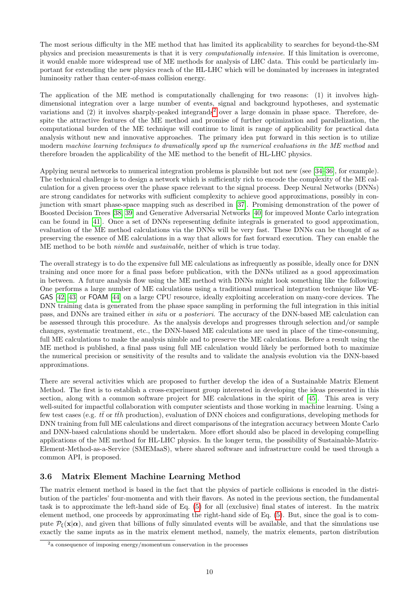The most serious difficulty in the ME method that has limited its applicability to searches for beyond-the-SM physics and precision measurements is that it is very computationally intensive. If this limitation is overcome, it would enable more widespread use of ME methods for analysis of LHC data. This could be particularly important for extending the new physics reach of the HL-LHC which will be dominated by increases in integrated luminosity rather than center-of-mass collision energy.

The application of the ME method is computationally challenging for two reasons: (1) it involves highdimensional integration over a large number of events, signal and background hypotheses, and systematic variations and  $(2)$  $(2)$  $(2)$  it involves sharply-peaked integrands<sup>2</sup> over a large domain in phase space. Therefore, despite the attractive features of the ME method and promise of further optimization and parallelization, the computational burden of the ME technique will continue to limit is range of applicability for practical data analysis without new and innovative approaches. The primary idea put forward in this section is to utilize modern machine learning techniques to dramatically speed up the numerical evaluations in the ME method and therefore broaden the applicability of the ME method to the benefit of HL-LHC physics.

Applying neural networks to numerical integration problems is plausible but not new (see [\[34–](#page-25-4)[36\]](#page-25-5), for example). The technical challenge is to design a network which is sufficiently rich to encode the complexity of the ME calculation for a given process over the phase space relevant to the signal process. Deep Neural Networks (DNNs) are strong candidates for networks with sufficient complexity to achieve good approximations, possibly in conjunction with smart phase-space mapping such as described in [\[37\]](#page-25-6). Promising demonstration of the power of Boosted Decision Trees [\[38,](#page-25-7) [39\]](#page-25-8) and Generative Adversarial Networks [\[40\]](#page-25-9) for improved Monte Carlo integration can be found in [\[41\]](#page-25-10). Once a set of DNNs representing definite integrals is generated to good approximation, evaluation of the ME method calculations via the DNNs will be very fast. These DNNs can be thought of as preserving the essence of ME calculations in a way that allows for fast forward execution. They can enable the ME method to be both nimble and sustainable, neither of which is true today.

The overall strategy is to do the expensive full ME calculations as infrequently as possible, ideally once for DNN training and once more for a final pass before publication, with the DNNs utilized as a good approximation in between. A future analysis flow using the ME method with DNNs might look something like the following: One performs a large number of ME calculations using a traditional numerical integration technique like VE-GAS [\[42,](#page-25-11) [43\]](#page-25-12) or FOAM [\[44\]](#page-25-13) on a large CPU resource, ideally exploiting acceleration on many-core devices. The DNN training data is generated from the phase space sampling in performing the full integration in this initial pass, and DNNs are trained either in situ or a posteriori. The accuracy of the DNN-based ME calculation can be assessed through this procedure. As the analysis develops and progresses through selection and/or sample changes, systematic treatment, etc., the DNN-based ME calculations are used in place of the time-consuming, full ME calculations to make the analysis nimble and to preserve the ME calculations. Before a result using the ME method is published, a final pass using full ME calculation would likely be performed both to maximize the numerical precision or sensitivity of the results and to validate the analysis evolution via the DNN-based approximations.

There are several activities which are proposed to further develop the idea of a Sustainable Matrix Element Method. The first is to establish a cross-experiment group interested in developing the ideas presented in this section, along with a common software project for ME calculations in the spirit of [\[45\]](#page-25-14). This area is very well-suited for impactful collaboration with computer scientists and those working in machine learning. Using a few test cases (e.g. tt or tth production), evaluation of DNN choices and configurations, developing methods for DNN training from full ME calculations and direct comparisons of the integration accuracy between Monte Carlo and DNN-based calculations should be undertaken. More effort should also be placed in developing compelling applications of the ME method for HL-LHC physics. In the longer term, the possibility of Sustainable-Matrix-Element-Method-as-a-Service (SMEMaaS), where shared software and infrastructure could be used through a common API, is proposed.

#### <span id="page-9-0"></span>3.6 Matrix Element Machine Learning Method

The matrix element method is based in the fact that the physics of particle collisions is encoded in the distribution of the particles' four-momenta and with their flavors. As noted in the previous section, the fundamental task is to approximate the left-hand side of Eq. [\(5\)](#page-23-2) for all (exclusive) final states of interest. In the matrix element method, one proceeds by approximating the right-hand side of Eq. [\(5\)](#page-23-2). But, since the goal is to compute  $\mathcal{P}_{\xi}(\mathbf{x}|\alpha)$ , and given that billions of fully simulated events will be available, and that the simulations use exactly the same inputs as in the matrix element method, namely, the matrix elements, parton distribution

<span id="page-9-1"></span><sup>2</sup>a consequence of imposing energy/momentum conservation in the processes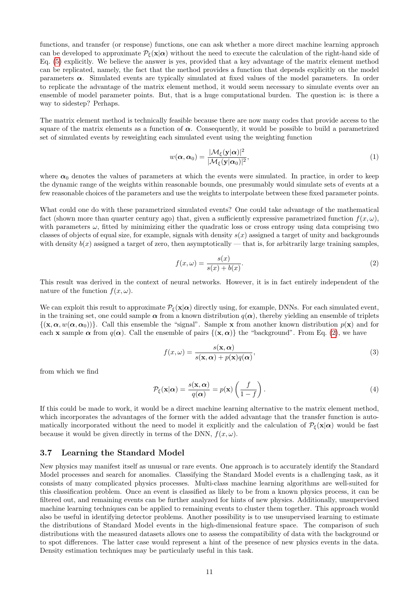functions, and transfer (or response) functions, one can ask whether a more direct machine learning approach can be developed to approximate  $\mathcal{P}_{\xi}(\mathbf{x}|\alpha)$  without the need to execute the calculation of the right-hand side of Eq. [\(5\)](#page-23-2) explicitly. We believe the answer is yes, provided that a key advantage of the matrix element method can be replicated, namely, the fact that the method provides a function that depends explicitly on the model parameters  $\alpha$ . Simulated events are typically simulated at fixed values of the model parameters. In order to replicate the advantage of the matrix element method, it would seem necessary to simulate events over an ensemble of model parameter points. But, that is a huge computational burden. The question is: is there a way to sidestep? Perhaps.

The matrix element method is technically feasible because there are now many codes that provide access to the square of the matrix elements as a function of  $\alpha$ . Consequently, it would be possible to build a parametrized set of simulated events by reweighting each simulated event using the weighting function

$$
w(\alpha, \alpha_0) = \frac{|\mathcal{M}_{\xi}(\mathbf{y}|\alpha)|^2}{|\mathcal{M}_{\xi}(\mathbf{y}|\alpha_0)|^2},\tag{1}
$$

where  $\alpha_0$  denotes the values of parameters at which the events were simulated. In practice, in order to keep the dynamic range of the weights within reasonable bounds, one presumably would simulate sets of events at a few reasonable choices of the parameters and use the weights to interpolate between these fixed parameter points.

What could one do with these parametrized simulated events? One could take advantage of the mathematical fact (shown more than quarter century ago) that, given a sufficiently expressive parametrized function  $f(x, \omega)$ , with parameters  $\omega$ , fitted by minimizing either the quadratic loss or cross entropy using data comprising two classes of objects of equal size, for example, signals with density  $s(x)$  assigned a target of unity and backgrounds with density  $b(x)$  assigned a target of zero, then asymptotically — that is, for arbitrarily large training samples,

<span id="page-10-1"></span>
$$
f(x,\omega) = \frac{s(x)}{s(x) + b(x)}.\tag{2}
$$

This result was derived in the context of neural networks. However, it is in fact entirely independent of the nature of the function  $f(x, \omega)$ .

We can exploit this result to approximate  $P_{\xi}(\mathbf{x}|\alpha)$  directly using, for example, DNNs. For each simulated event, in the training set, one could sample  $\alpha$  from a known distribution  $q(\alpha)$ , thereby yielding an ensemble of triplets  $\{(\mathbf{x}, \alpha, w(\alpha, \alpha_0))\}.$  Call this ensemble the "signal". Sample x from another known distribution  $p(\mathbf{x})$  and for each x sample  $\alpha$  from  $q(\alpha)$ . Call the ensemble of pairs  $\{(x, \alpha)\}\$ the "background". From Eq. [\(2\)](#page-10-1), we have

$$
f(x,\omega) = \frac{s(\mathbf{x}, \alpha)}{s(\mathbf{x}, \alpha) + p(\mathbf{x})q(\alpha)},
$$
\n(3)

from which we find

$$
\mathcal{P}_{\xi}(\mathbf{x}|\alpha) = \frac{s(\mathbf{x}, \alpha)}{q(\alpha)} = p(\mathbf{x}) \left(\frac{f}{1-f}\right). \tag{4}
$$

If this could be made to work, it would be a direct machine learning alternative to the matrix element method, which incorporates the advantages of the former with the added advantage that the transfer function is automatically incorporated without the need to model it explicitly and the calculation of  $P_{\xi}(\mathbf{x}|\alpha)$  would be fast because it would be given directly in terms of the DNN,  $f(x, \omega)$ .

#### <span id="page-10-0"></span>3.7 Learning the Standard Model

New physics may manifest itself as unusual or rare events. One approach is to accurately identify the Standard Model processes and search for anomalies. Classifying the Standard Model events is a challenging task, as it consists of many complicated physics processes. Multi-class machine learning algorithms are well-suited for this classification problem. Once an event is classified as likely to be from a known physics process, it can be filtered out, and remaining events can be further analyzed for hints of new physics. Additionally, unsupervised machine learning techniques can be applied to remaining events to cluster them together. This approach would also be useful in identifying detector problems. Another possibility is to use unsupervised learning to estimate the distributions of Standard Model events in the high-dimensional feature space. The comparison of such distributions with the measured datasets allows one to assess the compatibility of data with the background or to spot differences. The latter case would represent a hint of the presence of new physics events in the data. Density estimation techniques may be particularly useful in this task.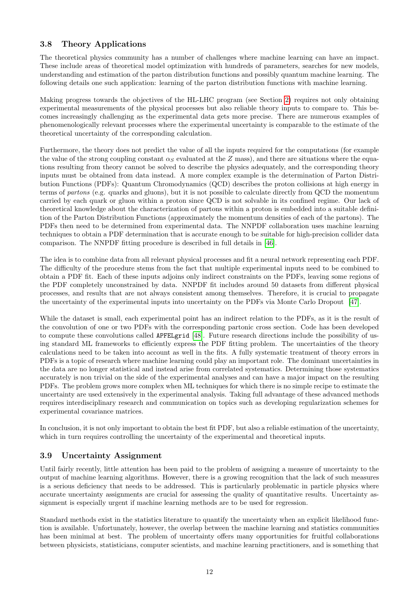# <span id="page-11-0"></span>3.8 Theory Applications

The theoretical physics community has a number of challenges where machine learning can have an impact. These include areas of theoretical model optimization with hundreds of parameters, searches for new models, understanding and estimation of the parton distribution functions and possibly quantum machine learning. The following details one such application: learning of the parton distribution functions with machine learning.

Making progress towards the objectives of the HL-LHC program (see Section [2\)](#page-5-1) requires not only obtaining experimental measurements of the physical processes but also reliable theory inputs to compare to. This becomes increasingly challenging as the experimental data gets more precise. There are numerous examples of phenomenologically relevant processes where the experimental uncertainty is comparable to the estimate of the theoretical uncertainty of the corresponding calculation.

Furthermore, the theory does not predict the value of all the inputs required for the computations (for example the value of the strong coupling constant  $\alpha_S$  evaluated at the Z mass), and there are situations where the equations resulting from theory cannot be solved to describe the physics adequately, and the corresponding theory inputs must be obtained from data instead. A more complex example is the determination of Parton Distribution Functions (PDFs): Quantum Chromodynamics (QCD) describes the proton collisions at high energy in terms of partons (e.g. quarks and gluons), but it is not possible to calculate directly from QCD the momentum carried by each quark or gluon within a proton since QCD is not solvable in its confined regime. Our lack of theoretical knowledge about the characterization of partons within a proton is embedded into a suitable definition of the Parton Distribution Functions (approximately the momentum densities of each of the partons). The PDFs then need to be determined from experimental data. The NNPDF collaboration uses machine learning techniques to obtain a PDF determination that is accurate enough to be suitable for high-precision collider data comparison. The NNPDF fitting procedure is described in full details in [\[46\]](#page-26-0).

The idea is to combine data from all relevant physical processes and fit a neural network representing each PDF. The difficulty of the procedure stems from the fact that multiple experimental inputs need to be combined to obtain a PDF fit. Each of these inputs adjoins only indirect constraints on the PDFs, leaving some regions of the PDF completely unconstrained by data. NNPDF fit includes around 50 datasets from different physical processes, and results that are not always consistent among themselves. Therefore, it is crucial to propagate the uncertainty of the experimental inputs into uncertainty on the PDFs via Monte Carlo Dropout [\[47\]](#page-26-1).

While the dataset is small, each experimental point has an indirect relation to the PDFs, as it is the result of the convolution of one or two PDFs with the corresponding partonic cross section. Code has been developed to compute these convolutions called APFELgrid [\[48\]](#page-26-2). Future research directions include the possibility of using standard ML frameworks to efficiently express the PDF fitting problem. The uncertainties of the theory calculations need to be taken into account as well in the fits. A fully systematic treatment of theory errors in PDFs is a topic of research where machine learning could play an important role. The dominant uncertainties in the data are no longer statistical and instead arise from correlated systematics. Determining those systematics accurately is non trivial on the side of the experimental analyses and can have a major impact on the resulting PDFs. The problem grows more complex when ML techniques for which there is no simple recipe to estimate the uncertainty are used extensively in the experimental analysis. Taking full advantage of these advanced methods requires interdisciplinary research and communication on topics such as developing regularization schemes for experimental covariance matrices.

In conclusion, it is not only important to obtain the best fit PDF, but also a reliable estimation of the uncertainty, which in turn requires controlling the uncertainty of the experimental and theoretical inputs.

### <span id="page-11-1"></span>3.9 Uncertainty Assignment

Until fairly recently, little attention has been paid to the problem of assigning a measure of uncertainty to the output of machine learning algorithms. However, there is a growing recognition that the lack of such measures is a serious deficiency that needs to be addressed. This is particularly problematic in particle physics where accurate uncertainty assignments are crucial for assessing the quality of quantitative results. Uncertainty assignment is especially urgent if machine learning methods are to be used for regression.

Standard methods exist in the statistics literature to quantify the uncertainty when an explicit likelihood function is available. Unfortunately, however, the overlap between the machine learning and statistics communities has been minimal at best. The problem of uncertainty offers many opportunities for fruitful collaborations between physicists, statisticians, computer scientists, and machine learning practitioners, and is something that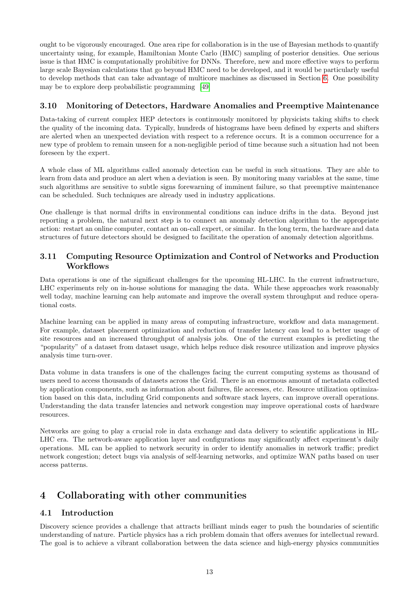ought to be vigorously encouraged. One area ripe for collaboration is in the use of Bayesian methods to quantify uncertainty using, for example, Hamiltonian Monte Carlo (HMC) sampling of posterior densities. One serious issue is that HMC is computationally prohibitive for DNNs. Therefore, new and more effective ways to perform large scale Bayesian calculations that go beyond HMC need to be developed, and it would be particularly useful to develop methods that can take advantage of multicore machines as discussed in Section [6.](#page-18-2) One possibility may be to explore deep probabilistic programming [\[49\]](#page-26-3)

## <span id="page-12-0"></span>3.10 Monitoring of Detectors, Hardware Anomalies and Preemptive Maintenance

Data-taking of current complex HEP detectors is continuously monitored by physicists taking shifts to check the quality of the incoming data. Typically, hundreds of histograms have been defined by experts and shifters are alerted when an unexpected deviation with respect to a reference occurs. It is a common occurrence for a new type of problem to remain unseen for a non-negligible period of time because such a situation had not been foreseen by the expert.

A whole class of ML algorithms called anomaly detection can be useful in such situations. They are able to learn from data and produce an alert when a deviation is seen. By monitoring many variables at the same, time such algorithms are sensitive to subtle signs forewarning of imminent failure, so that preemptive maintenance can be scheduled. Such techniques are already used in industry applications.

One challenge is that normal drifts in environmental conditions can induce drifts in the data. Beyond just reporting a problem, the natural next step is to connect an anomaly detection algorithm to the appropriate action: restart an online computer, contact an on-call expert, or similar. In the long term, the hardware and data structures of future detectors should be designed to facilitate the operation of anomaly detection algorithms.

### <span id="page-12-1"></span>3.11 Computing Resource Optimization and Control of Networks and Production **Workflows**

Data operations is one of the significant challenges for the upcoming HL-LHC. In the current infrastructure, LHC experiments rely on in-house solutions for managing the data. While these approaches work reasonably well today, machine learning can help automate and improve the overall system throughput and reduce operational costs.

Machine learning can be applied in many areas of computing infrastructure, workflow and data management. For example, dataset placement optimization and reduction of transfer latency can lead to a better usage of site resources and an increased throughput of analysis jobs. One of the current examples is predicting the "popularity" of a dataset from dataset usage, which helps reduce disk resource utilization and improve physics analysis time turn-over.

Data volume in data transfers is one of the challenges facing the current computing systems as thousand of users need to access thousands of datasets across the Grid. There is an enormous amount of metadata collected by application components, such as information about failures, file accesses, etc. Resource utilization optimization based on this data, including Grid components and software stack layers, can improve overall operations. Understanding the data transfer latencies and network congestion may improve operational costs of hardware resources.

Networks are going to play a crucial role in data exchange and data delivery to scientific applications in HL-LHC era. The network-aware application layer and configurations may significantly affect experiment's daily operations. ML can be applied to network security in order to identify anomalies in network traffic; predict network congestion; detect bugs via analysis of self-learning networks, and optimize WAN paths based on user access patterns.

# <span id="page-12-2"></span>4 Collaborating with other communities

# <span id="page-12-3"></span>4.1 Introduction

Discovery science provides a challenge that attracts brilliant minds eager to push the boundaries of scientific understanding of nature. Particle physics has a rich problem domain that offers avenues for intellectual reward. The goal is to achieve a vibrant collaboration between the data science and high-energy physics communities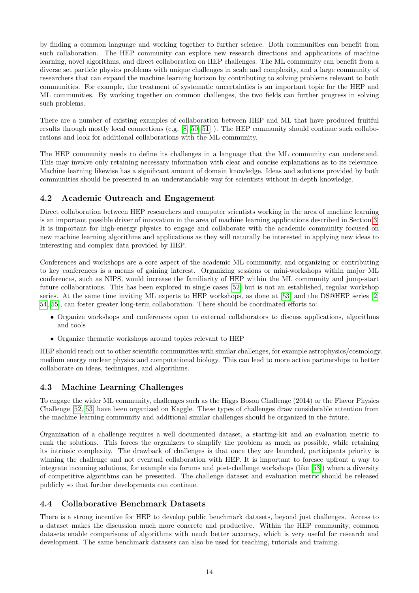by finding a common language and working together to further science. Both communities can benefit from such collaboration. The HEP community can explore new research directions and applications of machine learning, novel algorithms, and direct collaboration on HEP challenges. The ML community can benefit from a diverse set particle physics problems with unique challenges in scale and complexity, and a large community of researchers that can expand the machine learning horizon by contributing to solving problems relevant to both communities. For example, the treatment of systematic uncertainties is an important topic for the HEP and ML communities. By working together on common challenges, the two fields can further progress in solving such problems.

There are a number of existing examples of collaboration between HEP and ML that have produced fruitful results through mostly local connections (e.g. [\[8,](#page-24-5) [50,](#page-26-4) [51\]](#page-26-5) ). The HEP community should continue such collaborations and look for additional collaborations with the ML community.

The HEP community needs to define its challenges in a language that the ML community can understand. This may involve only retaining necessary information with clear and concise explanations as to its relevance. Machine learning likewise has a significant amount of domain knowledge. Ideas and solutions provided by both communities should be presented in an understandable way for scientists without in-depth knowledge.

### <span id="page-13-0"></span>4.2 Academic Outreach and Engagement

Direct collaboration between HEP researchers and computer scientists working in the area of machine learning is an important possible driver of innovation in the area of machine learning applications described in Section [3.](#page-6-1) It is important for high-energy physics to engage and collaborate with the academic community focused on new machine learning algorithms and applications as they will naturally be interested in applying new ideas to interesting and complex data provided by HEP.

Conferences and workshops are a core aspect of the academic ML community, and organizing or contributing to key conferences is a means of gaining interest. Organizing sessions or mini-workshops within major ML conferences, such as NIPS, would increase the familiarity of HEP within the ML community and jump-start future collaborations. This has been explored in single cases [\[52\]](#page-26-6) but is not an established, regular workshop series. At the same time inviting ML experts to HEP workshops, as done at [\[53\]](#page-26-7) and the DS@HEP series [\[2,](#page-24-1) [54,](#page-26-8) [55\]](#page-26-9), can foster greater long-term collaboration. There should be coordinated efforts to:

- Organize workshops and conferences open to external collaborators to discuss applications, algorithms and tools
- Organize thematic workshops around topics relevant to HEP

HEP should reach out to other scientific communities with similar challenges, for example astrophysics/cosmology, medium energy nuclear physics and computational biology. This can lead to more active partnerships to better collaborate on ideas, techniques, and algorithms.

# <span id="page-13-1"></span>4.3 Machine Learning Challenges

To engage the wider ML community, challenges such as the Higgs Boson Challenge (2014) or the Flavor Physics Challenge [\[52,](#page-26-6) [53\]](#page-26-7) have been organized on Kaggle. These types of challenges draw considerable attention from the machine learning community and additional similar challenges should be organized in the future.

Organization of a challenge requires a well documented dataset, a starting-kit and an evaluation metric to rank the solutions. This forces the organizers to simplify the problem as much as possible, while retaining its intrinsic complexity. The drawback of challenges is that once they are launched, participants priority is winning the challenge and not eventual collaboration with HEP. It is important to foresee upfront a way to integrate incoming solutions, for example via forums and post-challenge workshops (like [\[53\]](#page-26-7)) where a diversity of competitive algorithms can be presented. The challenge dataset and evaluation metric should be released publicly so that further developments can continue.

### <span id="page-13-2"></span>4.4 Collaborative Benchmark Datasets

There is a strong incentive for HEP to develop public benchmark datasets, beyond just challenges. Access to a dataset makes the discussion much more concrete and productive. Within the HEP community, common datasets enable comparisons of algorithms with much better accuracy, which is very useful for research and development. The same benchmark datasets can also be used for teaching, tutorials and training.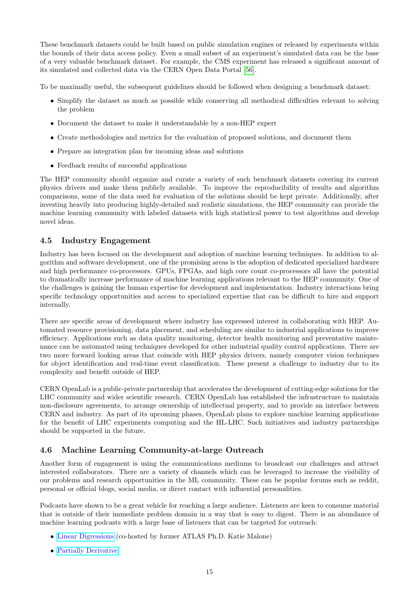These benchmark datasets could be built based on public simulation engines or released by experiments within the bounds of their data access policy. Even a small subset of an experiment's simulated data can be the base of a very valuable benchmark dataset. For example, the CMS experiment has released a significant amount of its simulated and collected data via the CERN Open Data Portal [\[56\]](#page-26-10).

To be maximally useful, the subsequent guidelines should be followed when designing a benchmark dataset:

- Simplify the dataset as much as possible while conserving all methodical difficulties relevant to solving the problem
- Document the dataset to make it understandable by a non-HEP expert
- Create methodologies and metrics for the evaluation of proposed solutions, and document them
- Prepare an integration plan for incoming ideas and solutions
- Feedback results of successful applications

The HEP community should organize and curate a variety of such benchmark datasets covering its current physics drivers and make them publicly available. To improve the reproducibility of results and algorithm comparisons, some of the data used for evaluation of the solutions should be kept private. Additionally, after investing heavily into producing highly-detailed and realistic simulations, the HEP community can provide the machine learning community with labeled datasets with high statistical power to test algorithms and develop novel ideas.

### <span id="page-14-0"></span>4.5 Industry Engagement

Industry has been focused on the development and adoption of machine learning techniques. In addition to algorithm and software development, one of the promising areas is the adoption of dedicated specialized hardware and high performance co-processors. GPUs, FPGAs, and high core count co-processors all have the potential to dramatically increase performance of machine learning applications relevant to the HEP community. One of the challenges is gaining the human expertise for development and implementation. Industry interactions bring specific technology opportunities and access to specialized expertise that can be difficult to hire and support internally.

There are specific areas of development where industry has expressed interest in collaborating with HEP. Automated resource provisioning, data placement, and scheduling are similar to industrial applications to improve efficiency. Applications such as data quality monitoring, detector health monitoring and preventative maintenance can be automated using techniques developed for other industrial quality control applications. There are two more forward looking areas that coincide with HEP physics drivers, namely computer vision techniques for object identification and real-time event classification. These present a challenge to industry due to its complexity and benefit outside of HEP.

CERN OpenLab is a public-private partnership that accelerates the development of cutting-edge solutions for the LHC community and wider scientific research. CERN OpenLab has established the infrastructure to maintain non-disclosure agreements, to arrange ownership of intellectual property, and to provide an interface between CERN and industry. As part of its upcoming phases, OpenLab plans to explore machine learning applications for the benefit of LHC experiments computing and the HL-LHC. Such initiatives and industry partnerships should be supported in the future.

# <span id="page-14-1"></span>4.6 Machine Learning Community-at-large Outreach

Another form of engagement is using the communications mediums to broadcast our challenges and attract interested collaborators. There are a variety of channels which can be leveraged to increase the visibility of our problems and research opportunities in the ML community. These can be popular forums such as reddit, personal or official blogs, social media, or direct contact with influential personalities.

Podcasts have shown to be a great vehicle for reaching a large audience. Listeners are keen to consume material that is outside of their immediate problem domain in a way that is easy to digest. There is an abundance of machine learning podcasts with a large base of listeners that can be targeted for outreach:

- [Linear Digressions](http://lineardigressions.com/) (co-hosted by former ATLAS Ph.D. Katie Malone)
- [Partially Derivative](http://partiallyderivative.com/)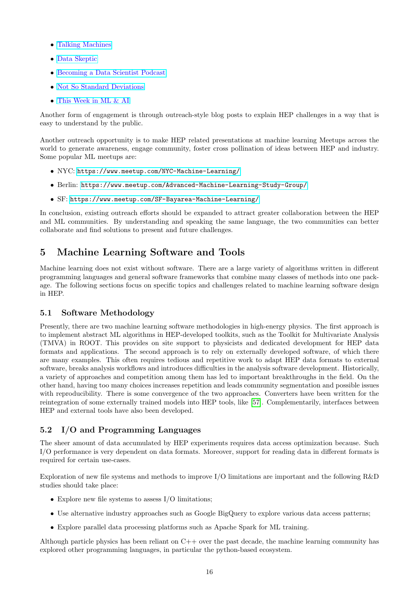- [Talking Machines](http://www.thetalkingmachines.com/)
- [Data Skeptic](https://dataskeptic.com/)
- [Becoming a Data Scientist Podcast](http://becomingadatascientist.com/)
- [Not So Standard Deviations](https://itunes.apple.com/us/podcast/not-so-standard-deviations/id1040614570?mt=2)
- [This Week in ML & AI](https://twimlai.com/)

Another form of engagement is through outreach-style blog posts to explain HEP challenges in a way that is easy to understand by the public.

Another outreach opportunity is to make HEP related presentations at machine learning Meetups across the world to generate awareness, engage community, foster cross pollination of ideas between HEP and industry. Some popular ML meetups are:

- NYC: <https://www.meetup.com/NYC-Machine-Learning/>
- Berlin: <https://www.meetup.com/Advanced-Machine-Learning-Study-Group/>
- SF: <https://www.meetup.com/SF-Bayarea-Machine-Learning/>

In conclusion, existing outreach efforts should be expanded to attract greater collaboration between the HEP and ML communities. By understanding and speaking the same language, the two communities can better collaborate and find solutions to present and future challenges.

# <span id="page-15-0"></span>5 Machine Learning Software and Tools

Machine learning does not exist without software. There are a large variety of algorithms written in different programming languages and general software frameworks that combine many classes of methods into one package. The following sections focus on specific topics and challenges related to machine learning software design in HEP.

### <span id="page-15-1"></span>5.1 Software Methodology

Presently, there are two machine learning software methodologies in high-energy physics. The first approach is to implement abstract ML algorithms in HEP-developed toolkits, such as the Toolkit for Multivariate Analysis (TMVA) in ROOT. This provides on site support to physicists and dedicated development for HEP data formats and applications. The second approach is to rely on externally developed software, of which there are many examples. This often requires tedious and repetitive work to adapt HEP data formats to external software, breaks analysis workflows and introduces difficulties in the analysis software development. Historically, a variety of approaches and competition among them has led to important breakthroughs in the field. On the other hand, having too many choices increases repetition and leads community segmentation and possible issues with reproducibility. There is some convergence of the two approaches. Converters have been written for the reintegration of some externally trained models into HEP tools, like [\[57\]](#page-26-11). Complementarily, interfaces between HEP and external tools have also been developed.

# <span id="page-15-2"></span>5.2 I/O and Programming Languages

The sheer amount of data accumulated by HEP experiments requires data access optimization because. Such I/O performance is very dependent on data formats. Moreover, support for reading data in different formats is required for certain use-cases.

Exploration of new file systems and methods to improve I/O limitations are important and the following R&D studies should take place:

- Explore new file systems to assess  $I/O$  limitations;
- Use alternative industry approaches such as Google BigQuery to explore various data access patterns;
- Explore parallel data processing platforms such as Apache Spark for ML training.

Although particle physics has been reliant on C++ over the past decade, the machine learning community has explored other programming languages, in particular the python-based ecosystem.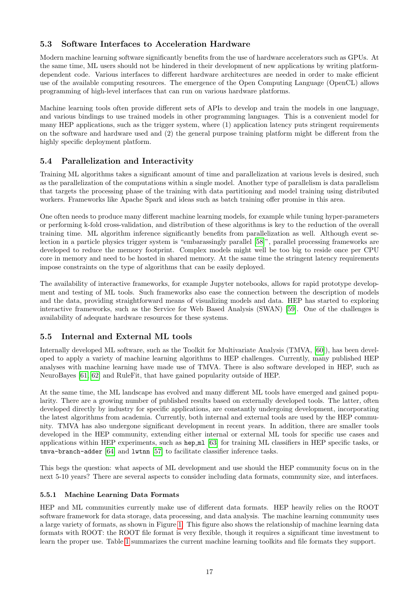## <span id="page-16-0"></span>5.3 Software Interfaces to Acceleration Hardware

Modern machine learning software significantly benefits from the use of hardware accelerators such as GPUs. At the same time, ML users should not be hindered in their development of new applications by writing platformdependent code. Various interfaces to different hardware architectures are needed in order to make efficient use of the available computing resources. The emergence of the Open Computing Language (OpenCL) allows programming of high-level interfaces that can run on various hardware platforms.

Machine learning tools often provide different sets of APIs to develop and train the models in one language, and various bindings to use trained models in other programming languages. This is a convenient model for many HEP applications, such as the trigger system, where (1) application latency puts stringent requirements on the software and hardware used and (2) the general purpose training platform might be different from the highly specific deployment platform.

### <span id="page-16-1"></span>5.4 Parallelization and Interactivity

Training ML algorithms takes a significant amount of time and parallelization at various levels is desired, such as the parallelization of the computations within a single model. Another type of parallelism is data parallelism that targets the processing phase of the training with data partitioning and model training using distributed workers. Frameworks like Apache Spark and ideas such as batch training offer promise in this area.

One often needs to produce many different machine learning models, for example while tuning hyper-parameters or performing k-fold cross-validation, and distribution of these algorithms is key to the reduction of the overall training time. ML algorithm inference significantly benefits from parallelization as well. Although event selection in a particle physics trigger system is "embarassingly parallel [\[58\]](#page-26-12)", parallel processing frameworks are developed to reduce the memory footprint. Complex models might well be too big to reside once per CPU core in memory and need to be hosted in shared memory. At the same time the stringent latency requirements impose constraints on the type of algorithms that can be easily deployed.

The availability of interactive frameworks, for example Jupyter notebooks, allows for rapid prototype development and testing of ML tools. Such frameworks also ease the connection between the description of models and the data, providing straightforward means of visualizing models and data. HEP has started to exploring interactive frameworks, such as the Service for Web Based Analysis (SWAN) [\[59\]](#page-26-13). One of the challenges is availability of adequate hardware resources for these systems.

### <span id="page-16-2"></span>5.5 Internal and External ML tools

Internally developed ML software, such as the Toolkit for Multivariate Analysis (TMVA, [\[60\]](#page-26-14)), has been developed to apply a variety of machine learning algorithms to HEP challenges. Currently, many published HEP analyses with machine learning have made use of TMVA. There is also software developed in HEP, such as NeuroBayes [\[61,](#page-26-15) [62\]](#page-26-16) and RuleFit, that have gained popularity outside of HEP.

At the same time, the ML landscape has evolved and many different ML tools have emerged and gained popularity. There are a growing number of published results based on externally developed tools. The latter, often developed directly by industry for specific applications, are constantly undergoing development, incorporating the latest algorithms from academia. Currently, both internal and external tools are used by the HEP community. TMVA has also undergone significant development in recent years. In addition, there are smaller tools developed in the HEP community, extending either internal or external ML tools for specific use cases and applications within HEP experiments, such as hep ml [\[63\]](#page-26-17) for training ML classifiers in HEP specific tasks, or tmva-branch-adder [\[64\]](#page-26-18) and lwtnn [\[57\]](#page-26-11) to facilitate classifier inference tasks.

This begs the question: what aspects of ML development and use should the HEP community focus on in the next 5-10 years? There are several aspects to consider including data formats, community size, and interfaces.

#### <span id="page-16-3"></span>5.5.1 Machine Learning Data Formats

HEP and ML communities currently make use of different data formats. HEP heavily relies on the ROOT software framework for data storage, data processing, and data analysis. The machine learning community uses a large variety of formats, as shown in Figure [1.](#page-17-0) This figure also shows the relationship of machine learning data formats with ROOT: the ROOT file format is very flexible, though it requires a significant time investment to learn the proper use. Table [1](#page-17-1) summarizes the current machine learning toolkits and file formats they support.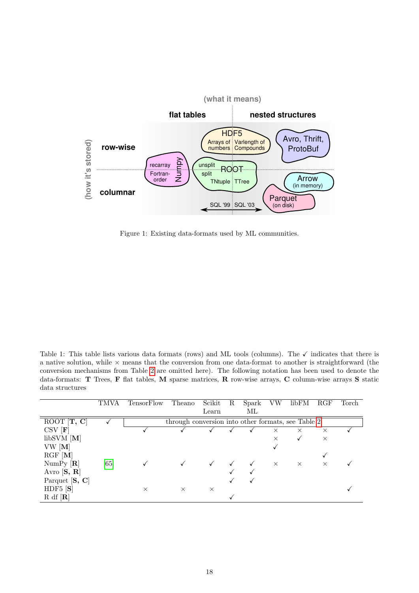

<span id="page-17-0"></span>Figure 1: Existing data-formats used by ML communities.

<span id="page-17-1"></span>Table 1: This table lists various data formats (rows) and ML tools (columns). The  $\checkmark$  indicates that there is a native solution, while  $\times$  means that the conversion from one data-format to another is straightforward (the conversion mechanisms from Table [2](#page-19-1) are omitted here). The following notation has been used to denote the data-formats: T Trees, F flat tables, M sparse matrices, R row-wise arrays, C column-wise arrays S static data structures

|                          | TMVA | TensorFlow | Theano                                             | Scikit   | $\mathbf R$ | Spark | VW       | libFM    | RGF      | Torch |
|--------------------------|------|------------|----------------------------------------------------|----------|-------------|-------|----------|----------|----------|-------|
|                          |      |            |                                                    | Learn    |             | МL    |          |          |          |       |
| $ROOT$ $[T, C]$          |      |            | through conversion into other formats, see Table 2 |          |             |       |          |          |          |       |
| $\text{CSV}[\textbf{F}]$ |      |            |                                                    |          |             |       | $\times$ | $\times$ | $\times$ |       |
| $libSVM$ [M]             |      |            |                                                    |          |             |       | $\times$ |          | $\times$ |       |
| VW [M]                   |      |            |                                                    |          |             |       |          |          |          |       |
| $RGF$ [M]                |      |            |                                                    |          |             |       |          |          |          |       |
| NumPy [R]                | [65] |            |                                                    |          |             |       | $\times$ | $\times$ | $\times$ |       |
| Avro $[S, R]$            |      |            |                                                    |          |             |       |          |          |          |       |
| Parquet [S, C]           |      |            |                                                    |          |             |       |          |          |          |       |
| HDF5 $[S]$               |      | X          | $\times$                                           | $\times$ |             |       |          |          |          |       |
| R df[R]                  |      |            |                                                    |          |             |       |          |          |          |       |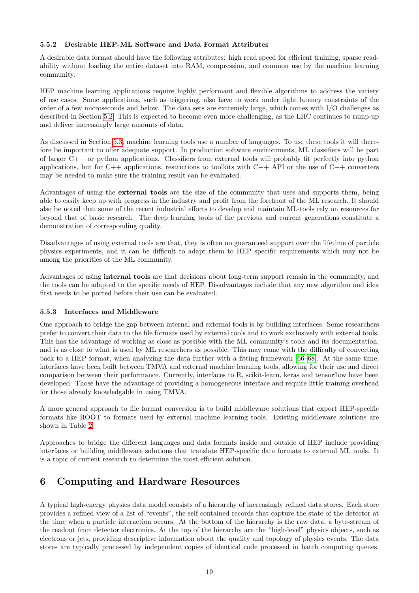#### <span id="page-18-0"></span>5.5.2 Desirable HEP-ML Software and Data Format Attributes

A desirable data format should have the following attributes: high read speed for efficient training, sparse readability without loading the entire dataset into RAM, compression, and common use by the machine learning community.

HEP machine learning applications require highly performant and flexible algorithms to address the variety of use cases. Some applications, such as triggering, also have to work under tight latency constraints of the order of a few microseconds and below. The data sets are extremely large, which comes with I/O challenges as described in Section [5.2.](#page-15-2) This is expected to become even more challenging, as the LHC continues to ramp-up and deliver increasingly large amounts of data.

As discussed in Section [5.3,](#page-16-0) machine learning tools use a number of languages. To use these tools it will therefore be important to offer adequate support. In production software environments, ML classifiers will be part of larger C++ or python applications. Classifiers from external tools will probably fit perfectly into python applications, but for  $C++$  applications, restrictions to toolkits with  $C++$  API or the use of  $C++$  converters may be needed to make sure the training result can be evaluated.

Advantages of using the external tools are the size of the community that uses and supports them, being able to easily keep up with progress in the industry and profit from the forefront of the ML research. It should also be noted that some of the recent industrial efforts to develop and maintain ML-tools rely on resources far beyond that of basic research. The deep learning tools of the previous and current generations constitute a demonstration of corresponding quality.

Disadvantages of using external tools are that, they is often no guaranteed support over the lifetime of particle physics experiments, and it can be difficult to adapt them to HEP specific requirements which may not be among the priorities of the ML community.

Advantages of using internal tools are that decisions about long-term support remain in the community, and the tools can be adapted to the specific needs of HEP. Disadvantages include that any new algorithm and idea first needs to be ported before their use can be evaluated.

#### <span id="page-18-1"></span>5.5.3 Interfaces and Middleware

One approach to bridge the gap between internal and external tools is by building interfaces. Some researchers prefer to convert their data to the file formats used by external tools and to work exclusively with external tools. This has the advantage of working as close as possible with the ML community's tools and its documentation, and is as close to what is used by ML researchers as possible. This may come with the difficulty of converting back to a HEP format, when analyzing the data further with a fitting framework [\[66–](#page-26-20)[68\]](#page-26-21). At the same time, interfaces have been built between TMVA and external machine learning tools, allowing for their use and direct comparison between their performance. Currently, interfaces to R, scikit-learn, keras and tensorflow have been developed. Those have the advantage of providing a homogeneous interface and require little training overhead for those already knowledgable in using TMVA.

A more general approach to file format conversion is to build middleware solutions that export HEP-specific formats like ROOT to formats used by external machine learning tools. Existing middleware solutions are shown in Table [2.](#page-19-1)

Approaches to bridge the different languages and data formats inside and outside of HEP include providing interfaces or building middleware solutions that translate HEP-specific data formats to external ML tools. It is a topic of current research to determine the most efficient solution.

# <span id="page-18-2"></span>6 Computing and Hardware Resources

A typical high-energy physics data model consists of a hierarchy of increasingly refined data stores. Each store provides a refined view of a list of "events", the self contained records that capture the state of the detector at the time when a particle interaction occurs. At the bottom of the hierarchy is the raw data, a byte-stream of the readout from detector electronics. At the top of the hierarchy are the "high-level" physics objects, such as electrons or jets, providing descriptive information about the quality and topology of physics events. The data stores are typically processed by independent copies of identical code processed in batch computing queues.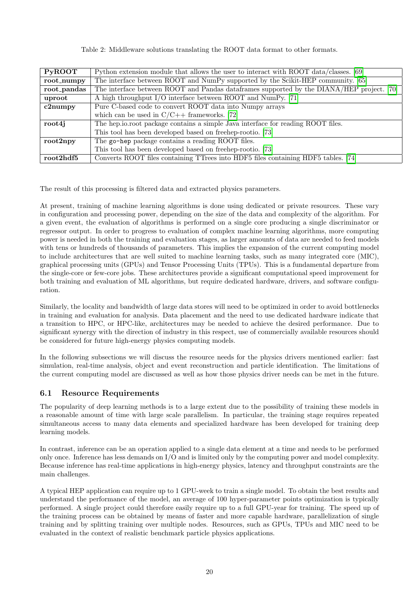<span id="page-19-1"></span>

|  | Table 2: Middleware solutions translating the ROOT data format to other formats. |  |  |  |  |  |  |  |  |
|--|----------------------------------------------------------------------------------|--|--|--|--|--|--|--|--|
|--|----------------------------------------------------------------------------------|--|--|--|--|--|--|--|--|

| <b>PyROOT</b> | Python extension module that allows the user to interact with ROOT data/classes. [69]      |
|---------------|--------------------------------------------------------------------------------------------|
| root_numpy    | The interface between ROOT and NumPy supported by the Scikit-HEP community. [65]           |
| root_pandas   | The interface between ROOT and Pandas data frames supported by the DIANA/HEP project. [70] |
| uproot        | A high throughput I/O interface between ROOT and NumPy. [71]                               |
| c2numpy       | Pure C-based code to convert ROOT data into Numpy arrays                                   |
|               | which can be used in $C/C++$ frameworks. [72]                                              |
| root4j        | The hep.io.root package contains a simple Java interface for reading ROOT files.           |
|               | This tool has been developed based on freehep-rootio. [73]                                 |
| $root2$ npy   | The go-hep package contains a reading ROOT files.                                          |
|               | This tool has been developed based on freehep-rootio. [73]                                 |
| root2hdf5     | Converts ROOT files containing TTrees into HDF5 files containing HDF5 tables. [74]         |

The result of this processing is filtered data and extracted physics parameters.

At present, training of machine learning algorithms is done using dedicated or private resources. These vary in configuration and processing power, depending on the size of the data and complexity of the algorithm. For a given event, the evaluation of algorithms is performed on a single core producing a single discriminator or regressor output. In order to progress to evaluation of complex machine learning algorithms, more computing power is needed in both the training and evaluation stages, as larger amounts of data are needed to feed models with tens or hundreds of thousands of parameters. This implies the expansion of the current computing model to include architectures that are well suited to machine learning tasks, such as many integrated core (MIC), graphical processing units (GPUs) and Tensor Processing Units (TPUs). This is a fundamental departure from the single-core or few-core jobs. These architectures provide a significant computational speed improvement for both training and evaluation of ML algorithms, but require dedicated hardware, drivers, and software configuration.

Similarly, the locality and bandwidth of large data stores will need to be optimized in order to avoid bottlenecks in training and evaluation for analysis. Data placement and the need to use dedicated hardware indicate that a transition to HPC, or HPC-like, architectures may be needed to achieve the desired performance. Due to significant synergy with the direction of industry in this respect, use of commercially available resources should be considered for future high-energy physics computing models.

In the following subsections we will discuss the resource needs for the physics drivers mentioned earlier: fast simulation, real-time analysis, object and event reconstruction and particle identification. The limitations of the current computing model are discussed as well as how those physics driver needs can be met in the future.

# <span id="page-19-0"></span>6.1 Resource Requirements

The popularity of deep learning methods is to a large extent due to the possibility of training these models in a reasonable amount of time with large scale parallelism. In particular, the training stage requires repeated simultaneous access to many data elements and specialized hardware has been developed for training deep learning models.

In contrast, inference can be an operation applied to a single data element at a time and needs to be performed only once. Inference has less demands on I/O and is limited only by the computing power and model complexity. Because inference has real-time applications in high-energy physics, latency and throughput constraints are the main challenges.

A typical HEP application can require up to 1 GPU-week to train a single model. To obtain the best results and understand the performance of the model, an average of 100 hyper-parameter points optimization is typically performed. A single project could therefore easily require up to a full GPU-year for training. The speed up of the training process can be obtained by means of faster and more capable hardware, parallelization of single training and by splitting training over multiple nodes. Resources, such as GPUs, TPUs and MIC need to be evaluated in the context of realistic benchmark particle physics applications.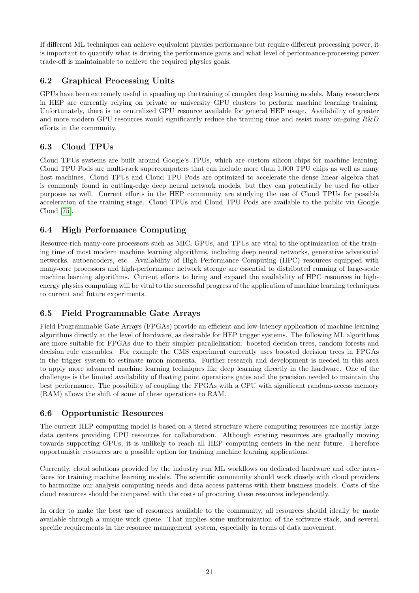If different ML techniques can achieve equivalent physics performance but require different processing power, it is important to quantify what is driving the performance gains and what level of performance-processing power trade-off is maintainable to achieve the required physics goals.

# <span id="page-20-0"></span>6.2 Graphical Processing Units

GPUs have been extremely useful in speeding up the training of complex deep learning models. Many researchers in HEP are currently relying on private or university GPU clusters to perform machine learning training. Unfortunately, there is no centralized GPU resource available for general HEP usage. Availability of greater and more modern GPU resources would significantly reduce the training time and assist many on-going  $R\&D$ efforts in the community.

## <span id="page-20-1"></span>6.3 Cloud TPUs

Cloud TPUs systems are built around Google's TPUs, which are custom silicon chips for machine learning. Cloud TPU Pods are multi-rack supercomputers that can include more than 1,000 TPU chips as well as many host machines. Cloud TPUs and Cloud TPU Pods are optimized to accelerate the dense linear algebra that is commonly found in cutting-edge deep neural network models, but they can potentially be used for other purposes as well. Current efforts in the HEP community are studying the use of Cloud TPUs for possible acceleration of the training stage. Cloud TPUs and Cloud TPU Pods are available to the public via Google Cloud [\[75\]](#page-27-0).

# <span id="page-20-2"></span>6.4 High Performance Computing

Resource-rich many-core processors such as MIC, GPUs, and TPUs are vital to the optimization of the training time of most modern machine learning algorithms, including deep neural networks, generative adversarial networks, autoencoders, etc. Availability of High Performance Computing (HPC) resources equipped with many-core processors and high-performance network storage are essential to distributed running of large-scale machine learning algorithms. Current efforts to bring and expand the availability of HPC resources in highenergy physics computing will be vital to the successful progress of the application of machine learning techniques to current and future experiments.

# <span id="page-20-3"></span>6.5 Field Programmable Gate Arrays

Field Programmable Gate Arrays (FPGAs) provide an efficient and low-latency application of machine learning algorithms directly at the level of hardware, as desirable for HEP trigger systems. The following ML algorithms are more suitable for FPGAs due to their simpler parallelization: boosted decision trees, random forests and decision rule ensembles. For example the CMS experiment currently uses boosted decision trees in FPGAs in the trigger system to estimate muon momenta. Further research and development is needed in this area to apply more advanced machine learning techniques like deep learning directly in the hardware. One of the challenges is the limited availability of floating point operations gates and the precision needed to maintain the best performance. The possibility of coupling the FPGAs with a CPU with significant random-access memory (RAM) allows the shift of some of these operations to RAM.

### <span id="page-20-4"></span>6.6 Opportunistic Resources

The current HEP computing model is based on a tiered structure where computing resources are mostly large data centers providing CPU resources for collaboration. Although existing resources are gradually moving towards supporting GPUs, it is unlikely to reach all HEP computing centers in the near future. Therefore opportunistic resources are a possible option for training machine learning applications.

Currently, cloud solutions provided by the industry run ML workflows on dedicated hardware and offer interfaces for training machine learning models. The scientific community should work closely with cloud providers to harmonize our analysis computing needs and data access patterns with their business models. Costs of the cloud resources should be compared with the costs of procuring these resources independently.

In order to make the best use of resources available to the community, all resources should ideally be made available through a unique work queue. That implies some uniformization of the software stack, and several specific requirements in the resource management system, especially in terms of data movement.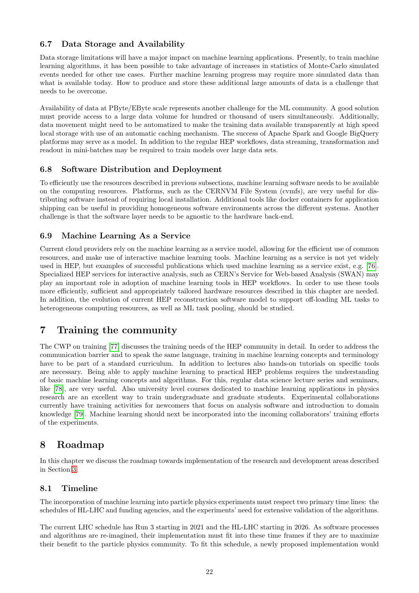### <span id="page-21-0"></span>6.7 Data Storage and Availability

Data storage limitations will have a major impact on machine learning applications. Presently, to train machine learning algorithms, it has been possible to take advantage of increases in statistics of Monte-Carlo simulated events needed for other use cases. Further machine learning progress may require more simulated data than what is available today. How to produce and store these additional large amounts of data is a challenge that needs to be overcome.

Availability of data at PByte/EByte scale represents another challenge for the ML community. A good solution must provide access to a large data volume for hundred or thousand of users simultaneously. Additionally, data movement might need to be automatized to make the training data available transparently at high speed local storage with use of an automatic caching mechanism. The success of Apache Spark and Google BigQuery platforms may serve as a model. In addition to the regular HEP workflows, data streaming, transformation and readout in mini-batches may be required to train models over large data sets.

## <span id="page-21-1"></span>6.8 Software Distribution and Deployment

To efficiently use the resources described in previous subsections, machine learning software needs to be available on the computing resources. Platforms, such as the CERNVM File System (cvmfs), are very useful for distributing software instead of requiring local installation. Additional tools like docker containers for application shipping can be useful in providing homogeneous software environments across the different systems. Another challenge is that the software layer needs to be agnostic to the hardware back-end.

### <span id="page-21-2"></span>6.9 Machine Learning As a Service

Current cloud providers rely on the machine learning as a service model, allowing for the efficient use of common resources, and make use of interactive machine learning tools. Machine learning as a service is not yet widely used in HEP, but examples of successful publications which used machine learning as a service exist, e.g. [\[76\]](#page-27-1). Specialized HEP services for interactive analysis, such as CERN's Service for Web-based Analysis (SWAN) may play an important role in adoption of machine learning tools in HEP workflows. In order to use these tools more efficiently, sufficient and appropriately tailored hardware resources described in this chapter are needed. In addition, the evolution of current HEP reconstruction software model to support off-loading ML tasks to heterogeneous computing resources, as well as ML task pooling, should be studied.

# <span id="page-21-3"></span>7 Training the community

The CWP on training [\[77\]](#page-27-2) discusses the training needs of the HEP community in detail. In order to address the communication barrier and to speak the same language, training in machine learning concepts and terminology have to be part of a standard curriculum. In addition to lectures also hands-on tutorials on specific tools are necessary. Being able to apply machine learning to practical HEP problems requires the understanding of basic machine learning concepts and algorithms. For this, regular data science lecture series and seminars, like [\[78\]](#page-27-3), are very useful. Also university level courses dedicated to machine learning applications in physics research are an excellent way to train undergraduate and graduate students. Experimental collaborations currently have training activities for newcomers that focus on analysis software and introduction to domain knowledge [\[79\]](#page-27-4). Machine learning should next be incorporated into the incoming collaborators' training efforts of the experiments.

# <span id="page-21-4"></span>8 Roadmap

In this chapter we discuss the roadmap towards implementation of the research and development areas described in Section [3.](#page-6-1)

### <span id="page-21-5"></span>8.1 Timeline

The incorporation of machine learning into particle physics experiments must respect two primary time lines: the schedules of HL-LHC and funding agencies, and the experiments' need for extensive validation of the algorithms.

The current LHC schedule has Run 3 starting in 2021 and the HL-LHC starting in 2026. As software processes and algorithms are re-imagined, their implementation must fit into these time frames if they are to maximize their benefit to the particle physics community. To fit this schedule, a newly proposed implementation would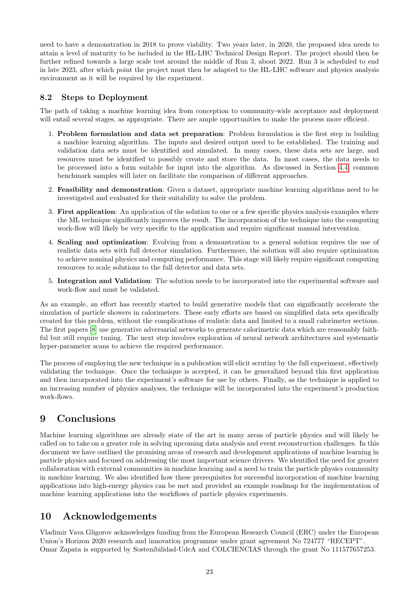need to have a demonstration in 2018 to prove viability. Two years later, in 2020, the proposed idea needs to attain a level of maturity to be included in the HL-LHC Technical Design Report. The project should then be further refined towards a large scale test around the middle of Run 3, about 2022. Run 3 is scheduled to end in late 2023, after which point the project must then be adapted to the HL-LHC software and physics analysis environment as it will be required by the experiment.

# <span id="page-22-0"></span>8.2 Steps to Deployment

The path of taking a machine learning idea from conception to community-wide acceptance and deployment will entail several stages, as appropriate. There are ample opportunities to make the process more efficient.

- 1. Problem formulation and data set preparation: Problem formulation is the first step in building a machine learning algorithm. The inputs and desired output need to be established. The training and validation data sets must be identified and simulated. In many cases, these data sets are large, and resources must be identified to possibly create and store the data. In most cases, the data needs to be processed into a form suitable for input into the algorithm. As discussed in Section [4.4,](#page-13-2) common benchmark samples will later on facilitate the comparison of different approaches.
- 2. Feasibility and demonstration: Given a dataset, appropriate machine learning algorithms need to be investigated and evaluated for their suitability to solve the problem.
- 3. First application: An application of the solution to one or a few specific physics analysis examples where the ML technique significantly improves the result. The incorporation of the technique into the computing work-flow will likely be very specific to the application and require significant manual intervention.
- 4. Scaling and optimization: Evolving from a demonstration to a general solution requires the use of realistic data sets with full detector simulation. Furthermore, the solution will also require optimization to achieve nominal physics and computing performance. This stage will likely require significant computing resources to scale solutions to the full detector and data sets.
- 5. Integration and Validation: The solution needs to be incorporated into the experimental software and work-flow and must be validated.

As an example, an effort has recently started to build generative models that can significantly accelerate the simulation of particle showers in calorimeters. These early efforts are based on simplified data sets specifically created for this problem, without the complications of realistic data and limited to a small calorimeter sections. The first papers [\[8\]](#page-24-5) use generative adversarial networks to generate calorimetric data which are reasonably faithful but still require tuning. The next step involves exploration of neural network architectures and systematic hyper-parameter scans to achieve the required performance.

The process of employing the new technique in a publication will elicit scrutiny by the full experiment, effectively validating the technique. Once the technique is accepted, it can be generalized beyond this first application and then incorporated into the experiment's software for use by others. Finally, as the technique is applied to an increasing number of physics analyses, the technique will be incorporated into the experiment's production work-flows.

# <span id="page-22-1"></span>9 Conclusions

Machine learning algorithms are already state of the art in many areas of particle physics and will likely be called on to take on a greater role in solving upcoming data analysis and event reconstruction challenges. In this document we have outlined the promising areas of research and development applications of machine learning in particle physics and focused on addressing the most important science drivers. We identified the need for greater collaboration with external communities in machine learning and a need to train the particle physics community in machine learning. We also identified how these prerequisites for successful incorporation of machine learning applications into high-energy physics can be met and provided an example roadmap for the implementation of machine learning applications into the workflows of particle physics experiments.

# <span id="page-22-2"></span>10 Acknowledgements

Vladimir Vava Gligorov acknowledges funding from the European Research Council (ERC) under the European Union's Horizon 2020 research and innovation programme under grant agreement No 724777 "RECEPT". Omar Zapata is supported by Sostenibilidad-UdeA and COLCIENCIAS through the grant No 111577657253.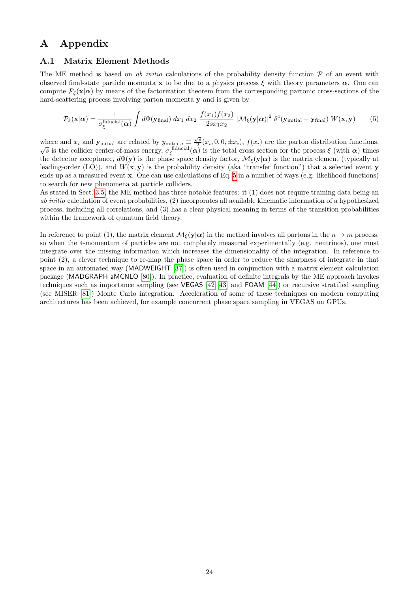# <span id="page-23-0"></span>A Appendix

#### <span id="page-23-1"></span>A.1 Matrix Element Methods

The ME method is based on ab initio calculations of the probability density function  $\mathcal P$  of an event with observed final-state particle momenta **x** to be due to a physics process  $\xi$  with theory parameters  $\alpha$ . One can compute  $\mathcal{P}_{\epsilon}(\mathbf{x}|\alpha)$  by means of the factorization theorem from the corresponding partonic cross-sections of the hard-scattering process involving parton momenta y and is given by

<span id="page-23-2"></span>
$$
\mathcal{P}_{\xi}(\mathbf{x}|\alpha) = \frac{1}{\sigma_{\xi}^{\text{fiducial}}(\alpha)} \int d\Phi(\mathbf{y}_{\text{final}}) dx_1 dx_2 \frac{f(x_1)f(x_2)}{2sx_1x_2} |\mathcal{M}_{\xi}(\mathbf{y}|\alpha)|^2 \delta^4(\mathbf{y}_{\text{initial}} - \mathbf{y}_{\text{final}}) W(\mathbf{x}, \mathbf{y})
$$
(5)

where and  $x_i$  and **y**<sub>initial</sub> are related by  $y_{initial,i} \equiv \frac{\sqrt{s}}{2}$ where and  $x_i$  and  $\mathbf{y}_{initial}$  are related by  $y_{initial,i} \equiv \frac{\sqrt{s}}{2}(x_i, 0, 0, \pm x_i)$ ,  $f(x_i)$  are the parton distribution functions,  $\sqrt{s}$  is the collider center-of-mass energy,  $\sigma_{\xi}^{\text{fiducial}}(\alpha)$  is the total cross section for the detector acceptance,  $d\Phi(\mathbf{y})$  is the phase space density factor,  $\mathcal{M}_{\xi}(\mathbf{y}|\alpha)$  is the matrix element (typically at leading-order (LO)), and  $W(\mathbf{x}, \mathbf{y})$  is the probability density (aka "transfer function") that a selected event y ends up as a measured event x. One can use calculations of Eq. [5](#page-23-2) in a number of ways (e.g. likelihood functions) to search for new phenomena at particle colliders.

As stated in Sect. [3.5,](#page-8-1) the ME method has three notable features: it (1) does not require training data being an ab initio calculation of event probabilities, (2) incorporates all available kinematic information of a hypothesized process, including all correlations, and (3) has a clear physical meaning in terms of the transition probabilities within the framework of quantum field theory.

In reference to point (1), the matrix element  $\mathcal{M}_{\xi}(\mathbf{y}|\alpha)$  in the method involves all partons in the  $n \to m$  process, so when the 4-momentum of particles are not completely measured experimentally (e.g. neutrinos), one must integrate over the missing information which increases the dimensionality of the integration. In reference to point (2), a clever technique to re-map the phase space in order to reduce the sharpness of integrate in that space in an automated way (MADWEIGHT [\[37\]](#page-25-6)) is often used in conjunction with a matrix element calculation package (MADGRAPH aMCNLO [\[80\]](#page-27-5)). In practice, evaluation of definite integrals by the ME approach invokes techniques such as importance sampling (see VEGAS [\[42,](#page-25-11) [43\]](#page-25-12) and FOAM [\[44\]](#page-25-13)) or recursive stratified sampling (see MISER [\[81\]](#page-27-6)) Monte Carlo integration. Acceleration of some of these techniques on modern computing architectures has been achieved, for example concurrent phase space sampling in VEGAS on GPUs.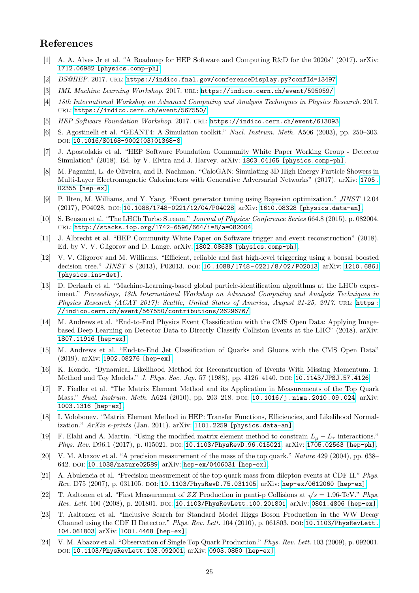# References

- <span id="page-24-0"></span>[1] A. A. Alves Jr et al. "A Roadmap for HEP Software and Computing R&D for the 2020s" (2017). arXiv: [1712.06982 \[physics.comp-ph\]](http://arxiv.org/abs/1712.06982).
- <span id="page-24-1"></span>[2] DS@HEP. 2017. URL: <https://indico.fnal.gov/conferenceDisplay.py?confId=13497>.
- [3] IML Machine Learning Workshop. 2017. URL: <https://indico.cern.ch/event/595059/>.
- [4] 18th International Workshop on Advanced Computing and Analysis Techniques in Physics Research. 2017. url: <https://indico.cern.ch/event/567550/>.
- <span id="page-24-2"></span>[5] HEP Software Foundation Workshop. 2017. URL: <https://indico.cern.ch/event/613093>.
- <span id="page-24-3"></span>[6] S. Agostinelli et al. "GEANT4: A Simulation toolkit." Nucl. Instrum. Meth. A506 (2003), pp. 250–303. DOI: [10.1016/S0168-9002\(03\)01368-8](http://dx.doi.org/10.1016/S0168-9002(03)01368-8).
- <span id="page-24-4"></span>[7] J. Apostolakis et al. "HEP Software Foundation Community White Paper Working Group - Detector Simulation" (2018). Ed. by V. Elvira and J. Harvey. arXiv: [1803.04165 \[physics.comp-ph\]](http://arxiv.org/abs/1803.04165).
- <span id="page-24-5"></span>[8] M. Paganini, L. de Oliveira, and B. Nachman. "CaloGAN: Simulating 3D High Energy Particle Showers in Multi-Layer Electromagnetic Calorimeters with Generative Adversarial Networks" (2017). arXiv: [1705.](http://arxiv.org/abs/1705.02355) [02355 \[hep-ex\]](http://arxiv.org/abs/1705.02355).
- <span id="page-24-6"></span>[9] P. Ilten, M. Williams, and Y. Yang. "Event generator tuning using Bayesian optimization." JINST 12.04 (2017), P04028. doi: [10.1088/1748-0221/12/04/P04028](http://dx.doi.org/10.1088/1748-0221/12/04/P04028). arXiv: [1610.08328 \[physics.data-an\]](http://arxiv.org/abs/1610.08328).
- <span id="page-24-7"></span>[10] S. Benson et al. "The LHCb Turbo Stream." Journal of Physics: Conference Series 664.8 (2015), p. 082004. url: <http://stacks.iop.org/1742-6596/664/i=8/a=082004>.
- <span id="page-24-8"></span>[11] J. Albrecht et al. "HEP Community White Paper on Software trigger and event reconstruction" (2018). Ed. by V. V. Gligorov and D. Lange. arXiv: [1802.08638 \[physics.comp-ph\]](http://arxiv.org/abs/1802.08638).
- <span id="page-24-9"></span>[12] V. V. Gligorov and M. Williams. "Efficient, reliable and fast high-level triggering using a bonsai boosted decision tree." JINST 8 (2013), P02013. poi: 10.1088/1748-0221/8/02/P02013. arXiv: [1210.6861](http://arxiv.org/abs/1210.6861) [\[physics.ins-det\]](http://arxiv.org/abs/1210.6861).
- <span id="page-24-10"></span>[13] D. Derkach et al. "Machine-Learning-based global particle-identification algorithms at the LHCb experiment." Proceedings, 18th International Workshop on Advanced Computing and Analysis Techniques in Physics Research (ACAT 2017): Seattle, United States of America, August 21-25, 2017. URL: [https :](https://indico.cern.ch/event/567550/contributions/2629676/) [//indico.cern.ch/event/567550/contributions/2629676/](https://indico.cern.ch/event/567550/contributions/2629676/).
- <span id="page-24-11"></span>[14] M. Andrews et al. "End-to-End Physics Event Classification with the CMS Open Data: Applying Imagebased Deep Learning on Detector Data to Directly Classify Collision Events at the LHC" (2018). arXiv: [1807.11916 \[hep-ex\]](http://arxiv.org/abs/1807.11916).
- <span id="page-24-12"></span>[15] M. Andrews et al. "End-to-End Jet Classification of Quarks and Gluons with the CMS Open Data" (2019). arXiv: [1902.08276 \[hep-ex\]](http://arxiv.org/abs/1902.08276).
- <span id="page-24-13"></span>[16] K. Kondo. "Dynamical Likelihood Method for Reconstruction of Events With Missing Momentum. 1: Method and Toy Models." J. Phys. Soc. Jap. 57 (1988), pp. 4126-4140. DOI: [10.1143/JPSJ.57.4126](http://dx.doi.org/10.1143/JPSJ.57.4126).
- [17] F. Fiedler et al. "The Matrix Element Method and its Application in Measurements of the Top Quark Mass." Nucl. Instrum. Meth. A624 (2010), pp. 203-218. DOI: [10.1016/j.nima.2010.09.024](http://dx.doi.org/10.1016/j.nima.2010.09.024). arXiv: [1003.1316 \[hep-ex\]](http://arxiv.org/abs/1003.1316).
- [18] I. Volobouev. "Matrix Element Method in HEP: Transfer Functions, Efficiencies, and Likelihood Normal-ization." ArXiv e-prints (Jan. 2011). arXiv: [1101.2259 \[physics.data-an\]](http://arxiv.org/abs/1101.2259).
- <span id="page-24-14"></span>[19] F. Elahi and A. Martin. "Using the modified matrix element method to constrain  $L_{\mu} - L_{\tau}$  interactions." Phys. Rev. D96.1 (2017), p. 015021. DOI: [10.1103/PhysRevD.96.015021](http://dx.doi.org/10.1103/PhysRevD.96.015021). arXiv: [1705.02563 \[hep-ph\]](http://arxiv.org/abs/1705.02563).
- <span id="page-24-15"></span>[20] V. M. Abazov et al. "A precision measurement of the mass of the top quark." Nature 429 (2004), pp. 638– 642. DOI: [10.1038/nature02589](http://dx.doi.org/10.1038/nature02589). arXiv: [hep-ex/0406031 \[hep-ex\]](http://arxiv.org/abs/hep-ex/0406031).
- [21] A. Abulencia et al. "Precision measurement of the top quark mass from dilepton events at CDF II." Phys. Rev. D75 (2007), p. 031105. doi: [10.1103/PhysRevD.75.031105](http://dx.doi.org/10.1103/PhysRevD.75.031105). arXiv: [hep-ex/0612060 \[hep-ex\]](http://arxiv.org/abs/hep-ex/0612060).
- [22] T. Aaltonen et al. "First Measurement of ZZ Production in panti-p Collisions at  $\sqrt{s} = 1.96$ -TeV." Phys. Rev. Lett. 100 (2008), p. 201801. DOI: [10.1103/PhysRevLett.100.201801](http://dx.doi.org/10.1103/PhysRevLett.100.201801). arXiv: [0801.4806 \[hep-ex\]](http://arxiv.org/abs/0801.4806).
- [23] T. Aaltonen et al. "Inclusive Search for Standard Model Higgs Boson Production in the WW Decay Channel using the CDF II Detector." Phys. Rev. Lett. 104 (2010), p. 061803. DOI: [10.1103/PhysRevLett.](http://dx.doi.org/10.1103/PhysRevLett.104.061803) [104.061803](http://dx.doi.org/10.1103/PhysRevLett.104.061803). arXiv: [1001.4468 \[hep-ex\]](http://arxiv.org/abs/1001.4468).
- [24] V. M. Abazov et al. "Observation of Single Top Quark Production." Phys. Rev. Lett. 103 (2009), p. 092001. doi: [10.1103/PhysRevLett.103.092001](http://dx.doi.org/10.1103/PhysRevLett.103.092001). arXiv: [0903.0850 \[hep-ex\]](http://arxiv.org/abs/0903.0850).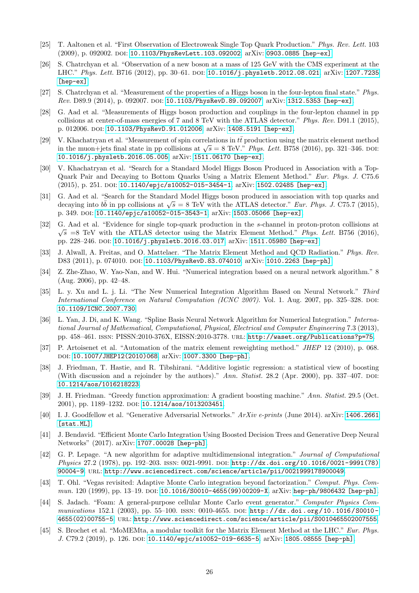- <span id="page-25-0"></span>[25] T. Aaltonen et al. "First Observation of Electroweak Single Top Quark Production." Phys. Rev. Lett. 103 (2009), p. 092002. DOI: [10.1103/PhysRevLett.103.092002](http://dx.doi.org/10.1103/PhysRevLett.103.092002). arXiv: [0903.0885 \[hep-ex\]](http://arxiv.org/abs/0903.0885).
- <span id="page-25-1"></span>[26] S. Chatrchyan et al. "Observation of a new boson at a mass of 125 GeV with the CMS experiment at the LHC." Phys. Lett. B716 (2012), pp. 30-61. DOI: [10.1016/j.physletb.2012.08.021](http://dx.doi.org/10.1016/j.physletb.2012.08.021). arXiv: [1207.7235](http://arxiv.org/abs/1207.7235) [\[hep-ex\]](http://arxiv.org/abs/1207.7235).
- [27] S. Chatrchyan et al. "Measurement of the properties of a Higgs boson in the four-lepton final state." Phys. Rev. D89.9 (2014), p. 092007. doi: [10.1103/PhysRevD.89.092007](http://dx.doi.org/10.1103/PhysRevD.89.092007). arXiv: [1312.5353 \[hep-ex\]](http://arxiv.org/abs/1312.5353).
- [28] G. Aad et al. "Measurements of Higgs boson production and couplings in the four-lepton channel in pp collisions at center-of-mass energies of 7 and 8 TeV with the ATLAS detector." Phys. Rev. D91.1 (2015), p. 012006. doi: [10.1103/PhysRevD.91.012006](http://dx.doi.org/10.1103/PhysRevD.91.012006). arXiv: [1408.5191 \[hep-ex\]](http://arxiv.org/abs/1408.5191).
- [29] V. Khachatryan et al. "Measurement of spin correlations in  $t\bar{t}$  production using the matrix element method v. Knachatryan et al. Measurement of spin correlations in the production using the matrix element method in the muon+jets final state in pp collisions at  $\sqrt{s} = 8$  TeV." *Phys. Lett.* B758 (2016), pp. 321–346. DOI: [10.1016/j.physletb.2016.05.005](http://dx.doi.org/10.1016/j.physletb.2016.05.005). arXiv: [1511.06170 \[hep-ex\]](http://arxiv.org/abs/1511.06170).
- [30] V. Khachatryan et al. "Search for a Standard Model Higgs Boson Produced in Association with a Top-Quark Pair and Decaying to Bottom Quarks Using a Matrix Element Method." Eur. Phys. J. C75.6 (2015), p. 251. DOI: [10.1140/epjc/s10052-015-3454-1](http://dx.doi.org/10.1140/epjc/s10052-015-3454-1). arXiv: [1502.02485 \[hep-ex\]](http://arxiv.org/abs/1502.02485).
- [31] G. Aad et al. "Search for the Standard Model Higgs boson produced in association with top quarks and G. Aad et al. Search for the Standard model ringes boson produced in association with top quarks and decaying into  $b\bar{b}$  in pp collisions at  $\sqrt{s} = 8$  TeV with the ATLAS detector." *Eur. Phys. J.* C75.7 (2015), p. 349. doi: [10.1140/epjc/s10052-015-3543-1](http://dx.doi.org/10.1140/epjc/s10052-015-3543-1). arXiv: [1503.05066 \[hep-ex\]](http://arxiv.org/abs/1503.05066).
- <span id="page-25-2"></span>[32] G. Aad et al. "Evidence for single top-quark production in the s-channel in proton-proton collisions at √  $\sqrt{s}$  =8 TeV with the ATLAS detector using the Matrix Element Method." Phys. Lett. B756 (2016), pp. 228–246. doi: [10.1016/j.physletb.2016.03.017](http://dx.doi.org/10.1016/j.physletb.2016.03.017). arXiv: [1511.05980 \[hep-ex\]](http://arxiv.org/abs/1511.05980).
- <span id="page-25-3"></span>[33] J. Alwall, A. Freitas, and O. Mattelaer. "The Matrix Element Method and QCD Radiation." Phys. Rev. D83 (2011), p. 074010. DOI: [10.1103/PhysRevD.83.074010](http://dx.doi.org/10.1103/PhysRevD.83.074010). arXiv: [1010.2263 \[hep-ph\]](http://arxiv.org/abs/1010.2263).
- <span id="page-25-4"></span>[34] Z. Zhe-Zhao, W. Yao-Nan, and W. Hui. "Numerical integration based on a neural network algorithm." 8 (Aug. 2006), pp. 42–48.
- [35] L. y. Xu and L. j. Li. "The New Numerical Integration Algorithm Based on Neural Network." Third International Conference on Natural Computation (ICNC 2007). Vol. 1. Aug. 2007, pp. 325–328. DOI: [10.1109/ICNC.2007.730](http://dx.doi.org/10.1109/ICNC.2007.730).
- <span id="page-25-5"></span>[36] L. Yan, J. Di, and K. Wang. "Spline Basis Neural Network Algorithm for Numerical Integration." International Journal of Mathematical, Computational, Physical, Electrical and Computer Engineering 7.3 (2013), pp. 458–461. issn: PISSN:2010-376X, EISSN:2010-3778. url: <http://waset.org/Publications?p=75>.
- <span id="page-25-6"></span>[37] P. Artoisenet et al. "Automation of the matrix element reweighting method." JHEP 12 (2010), p. 068. doi: [10.1007/JHEP12\(2010\)068](http://dx.doi.org/10.1007/JHEP12(2010)068). arXiv: [1007.3300 \[hep-ph\]](http://arxiv.org/abs/1007.3300).
- <span id="page-25-7"></span>[38] J. Friedman, T. Hastie, and R. Tibshirani. "Additive logistic regression: a statistical view of boosting (With discussion and a rejoinder by the authors)." Ann. Statist.  $28.2$  (Apr. 2000), pp. 337–407. DOI: [10.1214/aos/1016218223](http://dx.doi.org/10.1214/aos/1016218223).
- <span id="page-25-8"></span>[39] J. H. Friedman. "Greedy function approximation: A gradient boosting machine." Ann. Statist. 29.5 (Oct. 2001), pp. 1189-1232. DOI: [10.1214/aos/1013203451](http://dx.doi.org/10.1214/aos/1013203451).
- <span id="page-25-9"></span>[40] I. J. Goodfellow et al. "Generative Adversarial Networks." ArXiv e-prints (June 2014). arXiv: [1406.2661](http://arxiv.org/abs/1406.2661) [\[stat.ML\]](http://arxiv.org/abs/1406.2661).
- <span id="page-25-10"></span>[41] J. Bendavid. "Efficient Monte Carlo Integration Using Boosted Decision Trees and Generative Deep Neural Networks" (2017). arXiv: [1707.00028 \[hep-ph\]](http://arxiv.org/abs/1707.00028).
- <span id="page-25-11"></span>[42] G. P. Lepage. "A new algorithm for adaptive multidimensional integration." Journal of Computational Physics 27.2 (1978), pp. 192-203. ISSN: 0021-9991. DOI: [http://dx.doi.org/10.1016/0021-9991\(78\)](http://dx.doi.org/http://dx.doi.org/10.1016/0021-9991(78)90004-9) [90004-9](http://dx.doi.org/http://dx.doi.org/10.1016/0021-9991(78)90004-9). url: <http://www.sciencedirect.com/science/article/pii/0021999178900049>.
- <span id="page-25-12"></span>[43] T. Ohl. "Vegas revisited: Adaptive Monte Carlo integration beyond factorization." Comput. Phys. Com-mun. 120 (1999), pp. 13-19. DOI: [10.1016/S0010-4655\(99\)00209-X](http://dx.doi.org/10.1016/S0010-4655(99)00209-X). arXiv: [hep-ph/9806432 \[hep-ph\]](http://arxiv.org/abs/hep-ph/9806432).
- <span id="page-25-13"></span>[44] S. Jadach. "Foam: A general-purpose cellular Monte Carlo event generator." Computer Physics Communications 152.1 (2003), pp. 55–100. issn: 0010-4655. doi: [http://dx.doi.org/10.1016/S0010-](http://dx.doi.org/http://dx.doi.org/10.1016/S0010-4655(02)00755-5) [4655\(02\)00755-5](http://dx.doi.org/http://dx.doi.org/10.1016/S0010-4655(02)00755-5). url: <http://www.sciencedirect.com/science/article/pii/S0010465502007555>.
- <span id="page-25-14"></span>[45] S. Brochet et al. "MoMEMta, a modular toolkit for the Matrix Element Method at the LHC." Eur. Phys. J. C79.2 (2019), p. 126. DOI: [10.1140/epjc/s10052-019-6635-5](http://dx.doi.org/10.1140/epjc/s10052-019-6635-5). arXiv: [1805.08555 \[hep-ph\]](http://arxiv.org/abs/1805.08555).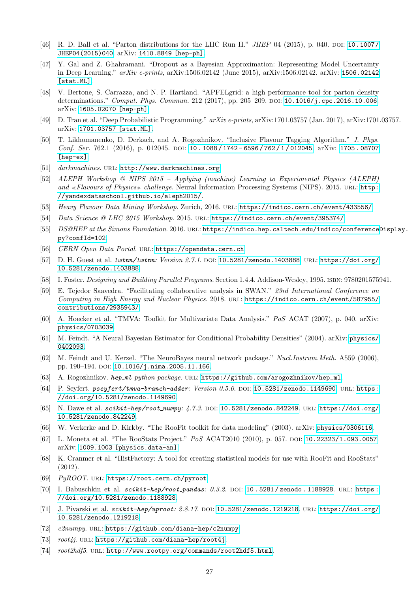- <span id="page-26-0"></span>[46] R. D. Ball et al. "Parton distributions for the LHC Run II." JHEP 04 (2015), p. 040. DOI: [10.1007/](http://dx.doi.org/10.1007/JHEP04(2015)040) [JHEP04\(2015\)040](http://dx.doi.org/10.1007/JHEP04(2015)040). arXiv: [1410.8849 \[hep-ph\]](http://arxiv.org/abs/1410.8849).
- <span id="page-26-1"></span>[47] Y. Gal and Z. Ghahramani. "Dropout as a Bayesian Approximation: Representing Model Uncertainty in Deep Learning." arXiv e-prints, arXiv:1506.02142 (June 2015), arXiv:1506.02142. arXiv: [1506.02142](http://arxiv.org/abs/1506.02142) [\[stat.ML\]](http://arxiv.org/abs/1506.02142).
- <span id="page-26-2"></span>[48] V. Bertone, S. Carrazza, and N. P. Hartland. "APFELgrid: a high performance tool for parton density determinations." Comput. Phys. Commun. 212 (2017), pp. 205-209. DOI: [10.1016/j.cpc.2016.10.006](http://dx.doi.org/10.1016/j.cpc.2016.10.006). arXiv: [1605.02070 \[hep-ph\]](http://arxiv.org/abs/1605.02070).
- <span id="page-26-3"></span>[49] D. Tran et al. "Deep Probabilistic Programming." arXiv e-prints, arXiv:1701.03757 (Jan. 2017), arXiv:1701.03757. arXiv: [1701.03757 \[stat.ML\]](http://arxiv.org/abs/1701.03757).
- <span id="page-26-4"></span>[50] T. Likhomanenko, D. Derkach, and A. Rogozhnikov. "Inclusive Flavour Tagging Algorithm." J. Phys. Conf. Ser. 762.1 (2016), p. 012045. DOI: [10 . 1088 / 1742 - 6596 / 762 / 1 / 012045](http://dx.doi.org/10.1088/1742-6596/762/1/012045). arXiv: [1705 . 08707](http://arxiv.org/abs/1705.08707) [\[hep-ex\]](http://arxiv.org/abs/1705.08707).
- <span id="page-26-5"></span>[51] darkmachines. URL: <http://www.darkmachines.org>.
- <span id="page-26-6"></span>[52] ALEPH Workshop @ NIPS 2015 – Applying (machine) Learning to Experimental Physics (ALEPH) and «Flavours of Physics» challenge. Neural Information Processing Systems (NIPS). 2015. URL: [http:](http://yandexdataschool.github.io/aleph2015/) [//yandexdataschool.github.io/aleph2015/](http://yandexdataschool.github.io/aleph2015/).
- <span id="page-26-7"></span>[53] Heavy Flavour Data Mining Workshop. Zurich, 2016. url: <https://indico.cern.ch/event/433556/>.
- <span id="page-26-8"></span>[54] Data Science @ LHC 2015 Workshop. 2015. url: <https://indico.cern.ch/event/395374/>.
- <span id="page-26-9"></span>[55] DS@HEP at the Simons Foundation. 2016. URL: [https://indico.hep.caltech.edu/indico/conferenceD](https://indico.hep.caltech.edu/indico/conferenceDisplay.py?confId=102)isplay. [py?confId=102](https://indico.hep.caltech.edu/indico/conferenceDisplay.py?confId=102).
- <span id="page-26-10"></span>[56] CERN Open Data Portal. URL: <https://opendata.cern.ch>.
- <span id="page-26-11"></span>[57] D. H. Guest et al. lwtnn/lwtnn: Version 2.7.1. DOI: [10.5281/zenodo.1403888](http://dx.doi.org/10.5281/zenodo.1403888). URL: [https://doi.org/](https://doi.org/10.5281/zenodo.1403888) [10.5281/zenodo.1403888](https://doi.org/10.5281/zenodo.1403888).
- <span id="page-26-12"></span>[58] I. Foster. Designing and Building Parallel Programs. Section 1.4.4. Addison-Wesley, 1995. isbn: 9780201575941.
- <span id="page-26-13"></span>[59] E. Tejedor Saavedra. "Facilitating collaborative analysis in SWAN." 23rd International Conference on Computing in High Energy and Nuclear Physics. 2018. url: [https://indico.cern.ch/event/587955/](https://indico.cern.ch/event/587955/contributions/2935943/) [contributions/2935943/](https://indico.cern.ch/event/587955/contributions/2935943/).
- <span id="page-26-14"></span>[60] A. Hoecker et al. "TMVA: Toolkit for Multivariate Data Analysis." PoS ACAT (2007), p. 040. arXiv: [physics/0703039](http://arxiv.org/abs/physics/0703039).
- <span id="page-26-15"></span>[61] M. Feindt. "A Neural Bayesian Estimator for Conditional Probability Densities" (2004). arXiv: [physics/](http://arxiv.org/abs/physics/0402093) [0402093](http://arxiv.org/abs/physics/0402093).
- <span id="page-26-16"></span>[62] M. Feindt and U. Kerzel. "The NeuroBayes neural network package." Nucl.Instrum.Meth. A559 (2006), pp. 190-194. DOI: [10.1016/j.nima.2005.11.166](http://dx.doi.org/10.1016/j.nima.2005.11.166).
- <span id="page-26-17"></span>[63] A. Rogozhnikov. hep ml python package. url: [https://github.com/arogozhnikov/hep\\_ml](https://github.com/arogozhnikov/hep_ml).
- <span id="page-26-18"></span>[64] P. Seyfert. pseyfert/tmva-branch-adder: Version 0.5.0. DOI: [10.5281/zenodo.1149690](http://dx.doi.org/10.5281/zenodo.1149690). URL: [https:](https://doi.org/10.5281/zenodo.1149690) [//doi.org/10.5281/zenodo.1149690](https://doi.org/10.5281/zenodo.1149690).
- <span id="page-26-19"></span>[65] N. Dawe et al.  $scikit$ -hep/root\_numpy:  $4.7.3$ . DOI: [10.5281/zenodo.842249](http://dx.doi.org/10.5281/zenodo.842249). URL: [https://doi.org/](https://doi.org/10.5281/zenodo.842249) [10.5281/zenodo.842249](https://doi.org/10.5281/zenodo.842249).
- <span id="page-26-20"></span>[66] W. Verkerke and D. Kirkby. "The RooFit toolkit for data modeling" (2003). arXiv: [physics/0306116](http://arxiv.org/abs/physics/0306116).
- [67] L. Moneta et al. "The RooStats Project." PoS ACAT2010 (2010), p. 057. doi: [10.22323/1.093.0057](http://dx.doi.org/10.22323/1.093.0057). arXiv: [1009.1003 \[physics.data-an\]](http://arxiv.org/abs/1009.1003).
- <span id="page-26-21"></span>[68] K. Cranmer et al. "HistFactory: A tool for creating statistical models for use with RooFit and RooStats" (2012).
- <span id="page-26-22"></span>[69] PyROOT. URL: <https://root.cern.ch/pyroot>.
- <span id="page-26-23"></span>[70] I. Babuschkin et al. scikit-hep/root\_pandas: 0.3.2. DOI: 10.5281/zenodo.1188928. URL: [https :](https://doi.org/10.5281/zenodo.1188928) [//doi.org/10.5281/zenodo.1188928](https://doi.org/10.5281/zenodo.1188928).
- <span id="page-26-24"></span>[71] J. Pivarski et al.  $scikit$ -hep/uproot: 2.8.17. DOI: [10.5281/zenodo.1219218](http://dx.doi.org/10.5281/zenodo.1219218). URL: [https://doi.org/](https://doi.org/10.5281/zenodo.1219218) [10.5281/zenodo.1219218](https://doi.org/10.5281/zenodo.1219218).
- <span id="page-26-25"></span>[72] c $\ell$ numpy. URL: <https://github.com/diana-hep/c2numpy>.
- <span id="page-26-26"></span>[73]  $root4j$ . URL: <https://github.com/diana-hep/root4j>.
- <span id="page-26-27"></span>[74] root2hdf5. URL: <http://www.rootpy.org/commands/root2hdf5.html>.